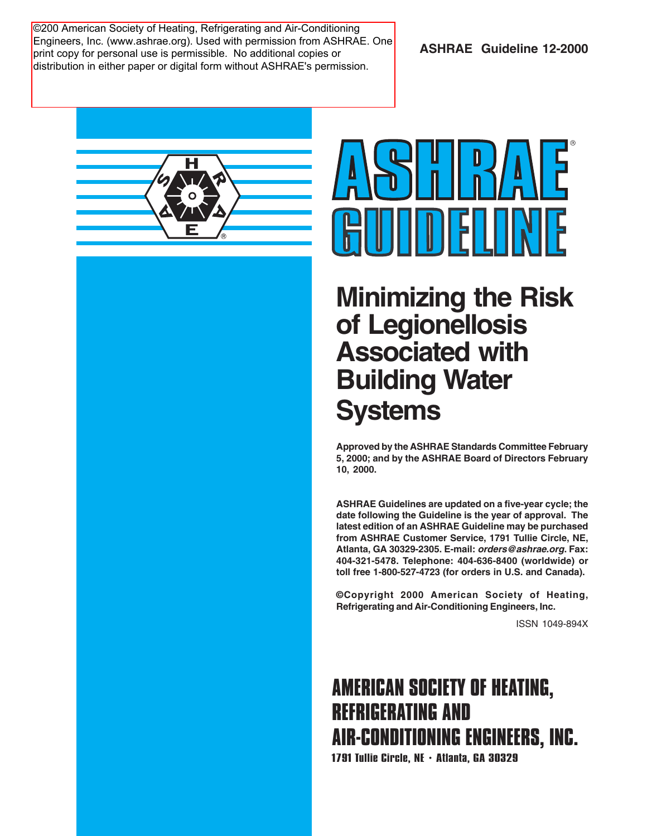©200 American Society of Heating, Refrigerating and Air-Conditioning Engineers, Inc. (www.ashrae.org). Used with permission from ASHRAE. One print copy for personal use is permissible. No additional copies or distribution in either paper or digital form without ASHRAE's permission.





# **Minimizing the Risk of Legionellosis Associated with Building Water Systems**

**Approved by the ASHRAE Standards Committee February 5, 2000; and by the ASHRAE Board of Directors February 10, 2000.**

**ASHRAE Guidelines are updated on a five-year cycle; the date following the Guideline is the year of approval. The latest edition of an ASHRAE Guideline may be purchased from ASHRAE Customer Service, 1791 Tullie Circle, NE, Atlanta, GA 30329-2305. E-mail: orders@ashrae.org. Fax: 404-321-5478. Telephone: 404-636-8400 (worldwide) or toll free 1-800-527-4723 (for orders in U.S. and Canada).**

**©Copyright 2000 American Society of Heating, Refrigerating and Air-Conditioning Engineers, Inc.**

ISSN 1049-894X

## **AMERICAN SOCIETY OF HEATING, REFRIGERATING AND AIR-CONDITIONING ENGINEERS, INC.**

1791 Tullie Circle, NE • Atlanta, GA 30329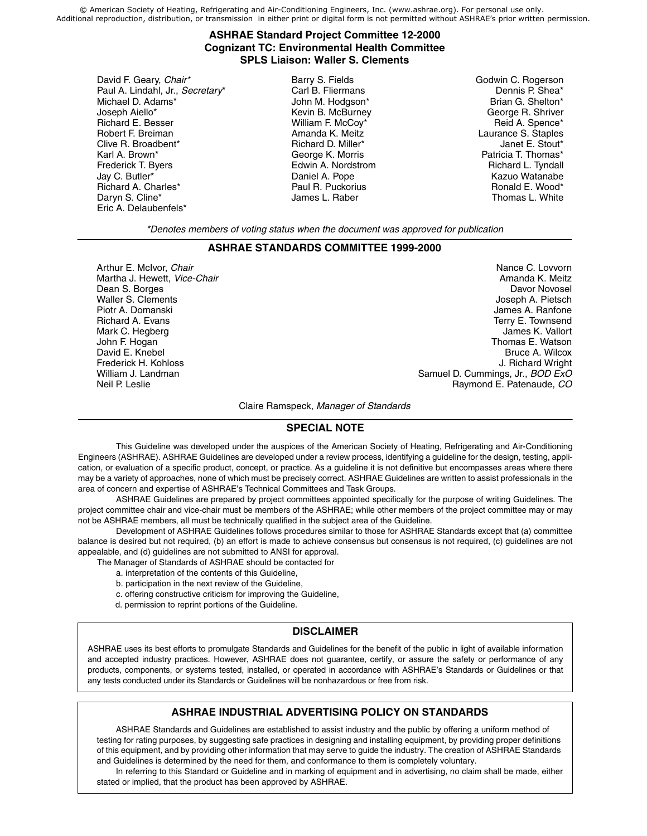#### **ASHRAE Standard Project Committee 12-2000 Cognizant TC: Environmental Health Committee SPLS Liaison: Waller S. Clements**

David F. Geary, *Chair*\* **Barry S. Fields** Barry S. Fields Godwin C. Rogerson C. Rogerson Barry S. Fields C. Rogerson<br>\*Dennis P. Shea Paul A. Lindahl, Jr., Secretary\* Carl B. Fliermans Dennis P. Shea\* Michael D. Adams\* The South Communication of the M. Hodgson\* The South Adams Brian G. Shelton\* Brian G. Shelton<br>Joseph Aiello\* Shelton: The Shelton Mexic B. McBurney Communication Communication Communication of the Mexic S Richard E. Besser Niel and A. William F. McCoy\*<br>Robert F. Breiman Niel A. Meitz Clive R. Broadbent\* The Richard D. Miller\* Richard D. Miller\* George K. Morris Karl A. Brown\* **Example 2. In the Convention Convertse Convertse Convertse Convertse Convertse A. Americia T. Thomas\***<br>Frederick T. Byers **Patricia T. Tomas Edwin A. Nordstrom** Convertse Convertse Richard L. Tyndall Jay C. Butler\* Daniel A. Pope Kazuo Watanabe Richard A. Charles\* Daryn S. Cline\* Thomas L. Raber James L. Raber Thomas L. White Inc. White Inc. White Eric A. Delaubenfels\*

Edwin A. Nordstrom

Kevin B. McBurney<br>
William F. McCov\* George R. Shriver William F. McCov\* Amanda K. Meitz **Amanda K. Meitz Laurance S. Staples** Laurance S. Staples<br>Hichard D. Miller\* Laurance S. Stout\*

\*Denotes members of voting status when the document was approved for publication

#### **ASHRAE STANDARDS COMMITTEE 1999-2000**

Arthur E. McIvor, Chair Martha J. Hewett, Vice-Chair Dean S. Borges Waller S. Clements Piotr A. Domanski Richard A. Evans Mark C. Hegberg John F. Hogan David E. Knebel Frederick H. Kohloss William J. Landman Neil P. Leslie

Nance C. Lovvorn Amanda K. Meitz Davor Novosel Joseph A. Pietsch James A. Ranfone Terry E. Townsend James K. Vallort Thomas E. Watson Bruce A. Wilcox J. Richard Wright Samuel D. Cummings, Jr., BOD ExO Raymond E. Patenaude, CO

Claire Ramspeck, Manager of Standards

#### **SPECIAL NOTE**

This Guideline was developed under the auspices of the American Society of Heating, Refrigerating and Air-Conditioning Engineers (ASHRAE). ASHRAE Guidelines are developed under a review process, identifying a guideline for the design, testing, application, or evaluation of a specific product, concept, or practice. As a guideline it is not definitive but encompasses areas where there may be a variety of approaches, none of which must be precisely correct. ASHRAE Guidelines are written to assist professionals in the area of concern and expertise of ASHRAE's Technical Committees and Task Groups.

ASHRAE Guidelines are prepared by project committees appointed specifically for the purpose of writing Guidelines. The project committee chair and vice-chair must be members of the ASHRAE; while other members of the project committee may or may not be ASHRAE members, all must be technically qualified in the subject area of the Guideline.

Development of ASHRAE Guidelines follows procedures similar to those for ASHRAE Standards except that (a) committee balance is desired but not required, (b) an effort is made to achieve consensus but consensus is not required, (c) guidelines are not appealable, and (d) guidelines are not submitted to ANSI for approval.

The Manager of Standards of ASHRAE should be contacted for

- a. interpretation of the contents of this Guideline,
- b. participation in the next review of the Guideline,
- c. offering constructive criticism for improving the Guideline,
- d. permission to reprint portions of the Guideline.

#### **DISCLAIMER**

ASHRAE uses its best efforts to promulgate Standards and Guidelines for the benefit of the public in light of available information and accepted industry practices. However, ASHRAE does not guarantee, certify, or assure the safety or performance of any products, components, or systems tested, installed, or operated in accordance with ASHRAE's Standards or Guidelines or that any tests conducted under its Standards or Guidelines will be nonhazardous or free from risk.

#### **ASHRAE INDUSTRIAL ADVERTISING POLICY ON STANDARDS**

ASHRAE Standards and Guidelines are established to assist industry and the public by offering a uniform method of testing for rating purposes, by suggesting safe practices in designing and installing equipment, by providing proper definitions of this equipment, and by providing other information that may serve to guide the industry. The creation of ASHRAE Standards and Guidelines is determined by the need for them, and conformance to them is completely voluntary.

In referring to this Standard or Guideline and in marking of equipment and in advertising, no claim shall be made, either stated or implied, that the product has been approved by ASHRAE.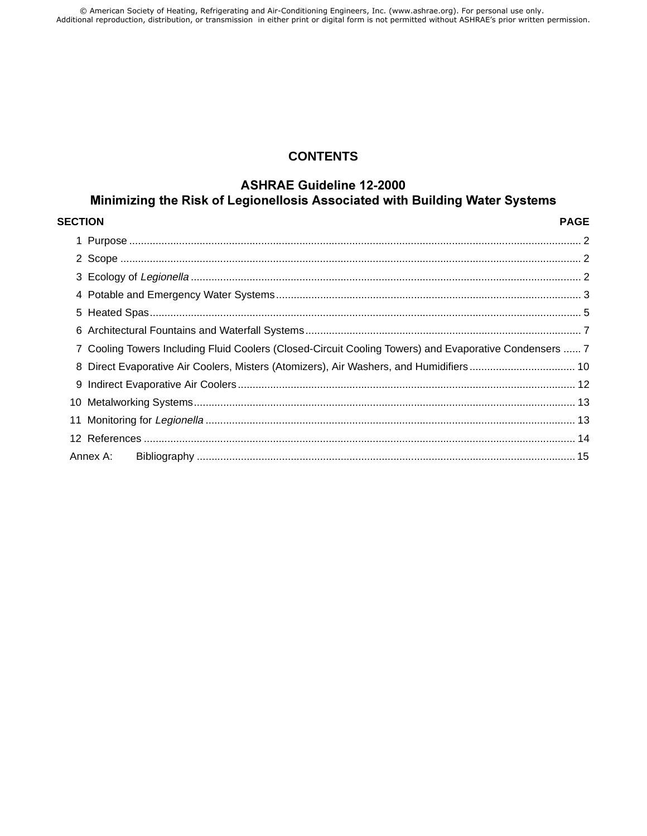## **CONTENTS**

## **ASHRAE Guideline 12-2000 Minimizing the Risk of Legionellosis Associated with Building Water Systems**

| <b>SECTION</b> | <b>PAGE</b>                                                                                            |  |
|----------------|--------------------------------------------------------------------------------------------------------|--|
|                |                                                                                                        |  |
|                |                                                                                                        |  |
|                |                                                                                                        |  |
|                |                                                                                                        |  |
|                |                                                                                                        |  |
|                |                                                                                                        |  |
|                | 7 Cooling Towers Including Fluid Coolers (Closed-Circuit Cooling Towers) and Evaporative Condensers  7 |  |
|                | 8 Direct Evaporative Air Coolers, Misters (Atomizers), Air Washers, and Humidifiers 10                 |  |
| 9              |                                                                                                        |  |
|                |                                                                                                        |  |
| 11             |                                                                                                        |  |
|                |                                                                                                        |  |
|                |                                                                                                        |  |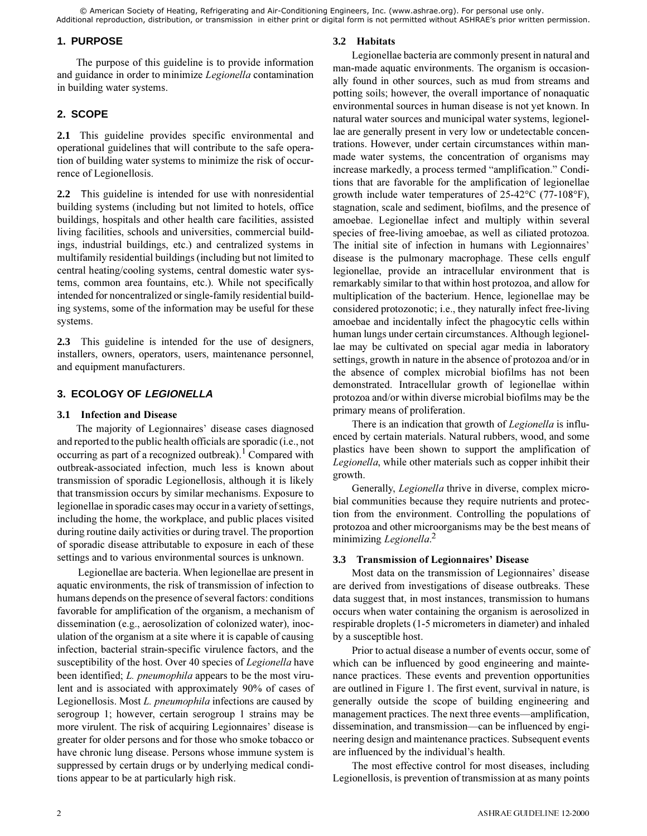#### 1. PURPOSE

The purpose of this guideline is to provide information and guidance in order to minimize Legionella contamination in building water systems.

#### 2. SCOPE

2.1 This guideline provides specific environmental and operational guidelines that will contribute to the safe operation of building water systems to minimize the risk of occurrence of Legionellosis.

2.2 This guideline is intended for use with nonresidential building systems (including but not limited to hotels, office buildings, hospitals and other health care facilities, assisted living facilities, schools and universities, commercial buildings, industrial buildings, etc.) and centralized systems in multifamily residential buildings (including but not limited to central heating/cooling systems, central domestic water systems, common area fountains, etc.). While not specifically intended for noncentralized or single-family residential building systems, some of the information may be useful for these systems.

2.3 This guideline is intended for the use of designers, installers, owners, operators, users, maintenance personnel, and equipment manufacturers.

#### 3. ECOLOGY OF LEGIONELLA

#### 3.1 Infection and Disease

The majority of Legionnaires' disease cases diagnosed and reported to the public health officials are sporadic (i.e., not occurring as part of a recognized outbreak).<sup>1</sup> Compared with outbreak-associated infection, much less is known about transmission of sporadic Legionellosis, although it is likely that transmission occurs by similar mechanisms. Exposure to legionellae in sporadic cases may occur in a variety of settings, including the home, the workplace, and public places visited during routine daily activities or during travel. The proportion of sporadic disease attributable to exposure in each of these settings and to various environmental sources is unknown.

Legionellae are bacteria. When legionellae are present in aquatic environments, the risk of transmission of infection to humans depends on the presence of several factors: conditions favorable for amplification of the organism, a mechanism of dissemination (e.g., aerosolization of colonized water), inoculation of the organism at a site where it is capable of causing infection, bacterial strain-specific virulence factors, and the susceptibility of the host. Over 40 species of Legionella have been identified; *L. pneumophila* appears to be the most virulent and is associated with approximately 90% of cases of Legionellosis. Most *L. pneumophila* infections are caused by serogroup 1; however, certain serogroup 1 strains may be more virulent. The risk of acquiring Legionnaires' disease is greater for older persons and for those who smoke tobacco or have chronic lung disease. Persons whose immune system is suppressed by certain drugs or by underlying medical conditions appear to be at particularly high risk.

#### 3.2 Habitats

Legionellae bacteria are commonly present in natural and man-made aquatic environments. The organism is occasionally found in other sources, such as mud from streams and potting soils; however, the overall importance of nonaquatic environmental sources in human disease is not yet known. In natural water sources and municipal water systems, legionellae are generally present in very low or undetectable concentrations. However, under certain circumstances within manmade water systems, the concentration of organisms may increase markedly, a process termed "amplification." Conditions that are favorable for the amplification of legionellae growth include water temperatures of  $25-42^{\circ}$ C (77-108°F), stagnation, scale and sediment, biofilms, and the presence of amoebae. Legionellae infect and multiply within several species of free-living amoebae, as well as ciliated protozoa. The initial site of infection in humans with Legionnaires' disease is the pulmonary macrophage. These cells engulf legionellae, provide an intracellular environment that is remarkably similar to that within host protozoa, and allow for multiplication of the bacterium. Hence, legionellae may be considered protozonotic: i.e., they naturally infect free-living amoebae and incidentally infect the phagocytic cells within human lungs under certain circumstances. Although legionellae may be cultivated on special agar media in laboratory settings, growth in nature in the absence of protozoa and/or in the absence of complex microbial biofilms has not been demonstrated. Intracellular growth of legionellae within protozoa and/or within diverse microbial biofilms may be the primary means of proliferation.

There is an indication that growth of *Legionella* is influenced by certain materials. Natural rubbers, wood, and some plastics have been shown to support the amplification of Legionella, while other materials such as copper inhibit their growth.

Generally, Legionella thrive in diverse, complex microbial communities because they require nutrients and protection from the environment. Controlling the populations of protozoa and other microorganisms may be the best means of minimizing Legionella. $^2$ 

#### 3.3 Transmission of Legionnaires' Disease

Most data on the transmission of Legionnaires' disease are derived from investigations of disease outbreaks. These data suggest that, in most instances, transmission to humans occurs when water containing the organism is aerosolized in respirable droplets (1-5 micrometers in diameter) and inhaled by a susceptible host.

Prior to actual disease a number of events occur, some of which can be influenced by good engineering and maintenance practices. These events and prevention opportunities are outlined in Figure 1. The first event, survival in nature, is generally outside the scope of building engineering and management practices. The next three events—amplification, dissemination, and transmission—can be influenced by engineering design and maintenance practices. Subsequent events are influenced by the individual's health.

The most effective control for most diseases, including Legionellosis, is prevention of transmission at as many points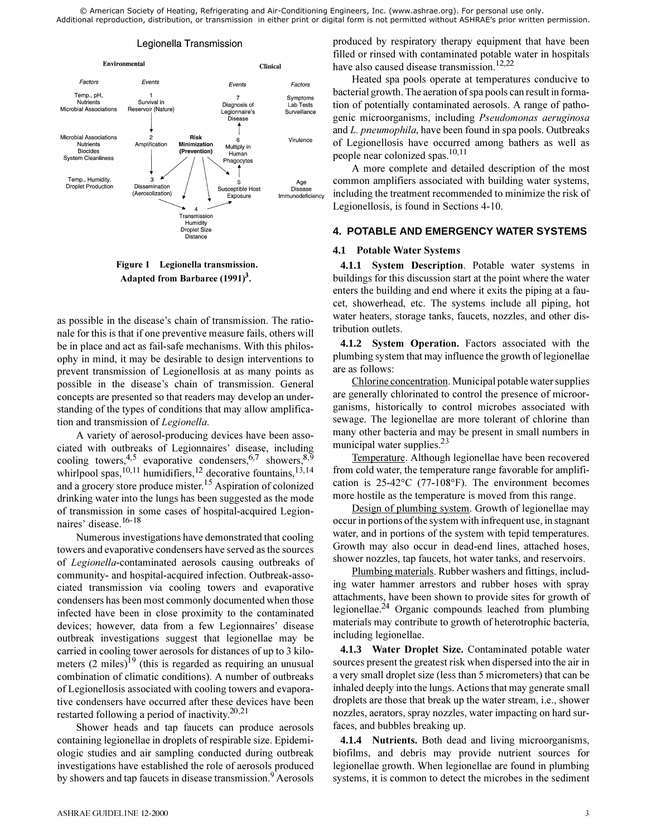

#### Legionella Transmission



as possible in the disease's chain of transmission. The rationale for this is that if one preventive measure fails, others will be in place and act as fail-safe mechanisms. With this philosophy in mind, it may be desirable to design interventions to prevent transmission of Legionellosis at as many points as possible in the disease's chain of transmission. General concepts are presented so that readers may develop an understanding of the types of conditions that may allow amplification and transmission of Legionella.

A variety of aerosol-producing devices have been associated with outbreaks of Legionnaires' disease, including cooling towers, 4,5 evaporative condensers,  $6,7$  showers,  $8,9$ whirlpool spas,  $^{10,11}$  humidifiers,  $^{12}$  decorative fountains,  $^{13,14}$ and a grocery store produce mister.<sup>15</sup> Aspiration of colonized drinking water into the lungs has been suggested as the mode of transmission in some cases of hospital-acquired Legionnaires' disease.<sup>16-18</sup>

Numerous investigations have demonstrated that cooling towers and evaporative condensers have served as the sources of *Legionella*-contaminated aerosols causing outbreaks of community- and hospital-acquired infection. Outbreak-associated transmission via cooling towers and evaporative condensers has been most commonly documented when those infected have been in close proximity to the contaminated devices; however, data from a few Legionnaires' disease outbreak investigations suggest that legionellae may be carried in cooling tower aerosols for distances of up to 3 kilometers  $(2 \text{ miles})^{19}$  (this is regarded as requiring an unusual combination of climatic conditions). A number of outbreaks of Legionellosis associated with cooling towers and evaporative condensers have occurred after these devices have been restarted following a period of inactivity.<sup>20,21</sup>

Shower heads and tap faucets can produce aerosols containing legionellae in droplets of respirable size. Epidemiologic studies and air sampling conducted during outbreak investigations have established the role of aerosols produced by showers and tap faucets in disease transmission.<sup>9</sup> Aerosols produced by respiratory therapy equipment that have been filled or rinsed with contaminated potable water in hospitals have also caused disease transmission.<sup>12,22</sup>

Heated spa pools operate at temperatures conducive to bacterial growth. The aeration of spa pools can result in formation of potentially contaminated aerosols. A range of pathogenic microorganisms, including Pseudomonas aeruginosa and L. pneumophila, have been found in spa pools. Outbreaks of Legionellosis have occurred among bathers as well as people near colonized spas.<sup>10,11</sup>

A more complete and detailed description of the most common amplifiers associated with building water systems, including the treatment recommended to minimize the risk of Legionellosis, is found in Sections 4-10.

#### 4. POTABLE AND EMERGENCY WATER SYSTEMS

#### 4.1 Potable Water Systems

4.1.1 System Description. Potable water systems in buildings for this discussion start at the point where the water enters the building and end where it exits the piping at a faucet, showerhead, etc. The systems include all piping, hot water heaters, storage tanks, faucets, nozzles, and other distribution outlets.

4.1.2 System Operation. Factors associated with the plumbing system that may influence the growth of legionellae are as follows:

Chlorine concentration. Municipal potable water supplies are generally chlorinated to control the presence of microorganisms, historically to control microbes associated with sewage. The legionellae are more tolerant of chlorine than many other bacteria and may be present in small numbers in municipal water supplies.<sup>23</sup>

Temperature. Although legionellae have been recovered from cold water, the temperature range favorable for amplification is  $25-42$ °C (77-108°F). The environment becomes more hostile as the temperature is moved from this range.

Design of plumbing system. Growth of legionellae may occur in portions of the system with infrequent use, in stagnant water, and in portions of the system with tepid temperatures. Growth may also occur in dead-end lines, attached hoses, shower nozzles, tap faucets, hot water tanks, and reservoirs.

Plumbing materials. Rubber washers and fittings, including water hammer arrestors and rubber hoses with spray attachments, have been shown to provide sites for growth of legionellae.<sup>24</sup> Organic compounds leached from plumbing materials may contribute to growth of heterotrophic bacteria, including legionellae.

4.1.3 Water Droplet Size. Contaminated potable water sources present the greatest risk when dispersed into the air in a very small droplet size (less than 5 micrometers) that can be inhaled deeply into the lungs. Actions that may generate small droplets are those that break up the water stream, *i.e.*, shower nozzles, aerators, spray nozzles, water impacting on hard surfaces, and bubbles breaking up.

4.1.4 Nutrients. Both dead and living microorganisms, biofilms, and debris may provide nutrient sources for legionellae growth. When legionellae are found in plumbing systems, it is common to detect the microbes in the sediment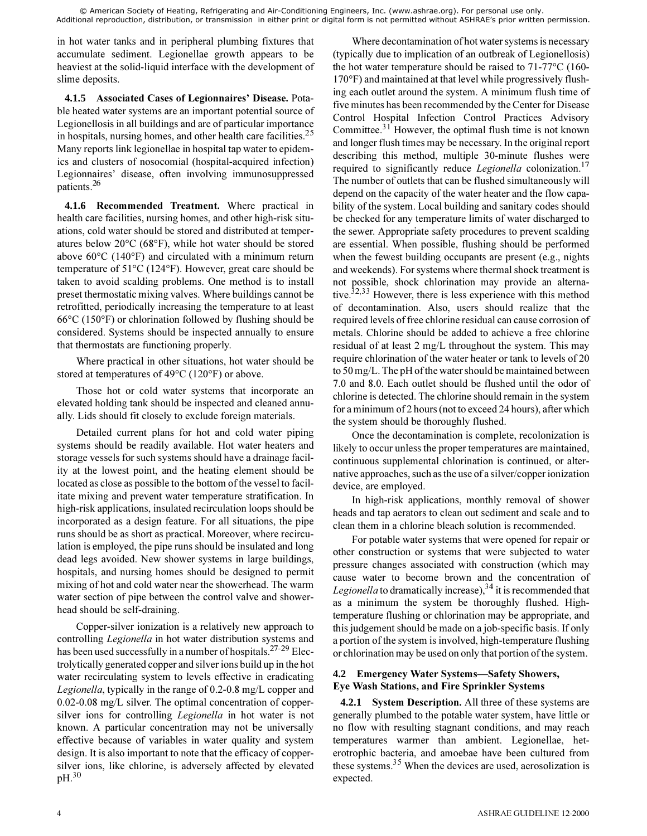in hot water tanks and in peripheral plumbing fixtures that accumulate sediment. Legionellae growth appears to be heaviest at the solid-liquid interface with the development of slime deposits.

4.1.5 Associated Cases of Legionnaires' Disease. Potable heated water systems are an important potential source of Legionellosis in all buildings and are of particular importance in hospitals, nursing homes, and other health care facilities.<sup>25</sup> Many reports link legionellae in hospital tap water to epidemics and clusters of nosocomial (hospital-acquired infection) Legionnaires' disease, often involving immunosuppressed patients.<sup>26</sup>

4.1.6 Recommended Treatment. Where practical in health care facilities, nursing homes, and other high-risk situations, cold water should be stored and distributed at temperatures below 20°C (68°F), while hot water should be stored above  $60^{\circ}$ C (140 $^{\circ}$ F) and circulated with a minimum return temperature of 51°C (124°F). However, great care should be taken to avoid scalding problems. One method is to install preset thermostatic mixing valves. Where buildings cannot be retrofitted, periodically increasing the temperature to at least  $66^{\circ}$ C (150 $^{\circ}$ F) or chlorination followed by flushing should be considered. Systems should be inspected annually to ensure that thermostats are functioning properly.

Where practical in other situations, hot water should be stored at temperatures of  $49^{\circ}$ C (120°F) or above.

Those hot or cold water systems that incorporate an elevated holding tank should be inspected and cleaned annually. Lids should fit closely to exclude foreign materials.

Detailed current plans for hot and cold water piping systems should be readily available. Hot water heaters and storage vessels for such systems should have a drainage facility at the lowest point, and the heating element should be located as close as possible to the bottom of the vessel to facilitate mixing and prevent water temperature stratification. In high-risk applications, insulated recirculation loops should be incorporated as a design feature. For all situations, the pipe runs should be as short as practical. Moreover, where recirculation is employed, the pipe runs should be insulated and long dead legs avoided. New shower systems in large buildings, hospitals, and nursing homes should be designed to permit mixing of hot and cold water near the showerhead. The warm water section of pipe between the control valve and showerhead should be self-draining.

Copper-silver ionization is a relatively new approach to controlling Legionella in hot water distribution systems and has been used successfully in a number of hospitals.<sup>27-29</sup> Electrolytically generated copper and silver ions build up in the hot water recirculating system to levels effective in eradicating Legionella, typically in the range of 0.2-0.8 mg/L copper and  $0.02$ -0.08 mg/L silver. The optimal concentration of coppersilver ions for controlling *Legionella* in hot water is not known. A particular concentration may not be universally effective because of variables in water quality and system design. It is also important to note that the efficacy of coppersilver ions, like chlorine, is adversely affected by elevated  $pH.<sup>30</sup>$ 

Where decontamination of hot water systems is necessary (typically due to implication of an outbreak of Legionellosis) the hot water temperature should be raised to  $71-77\degree C$  (160-170°F) and maintained at that level while progressively flushing each outlet around the system. A minimum flush time of five minutes has been recommended by the Center for Disease Control Hospital Infection Control Practices Advisory Committee. $31$  However, the optimal flush time is not known and longer flush times may be necessary. In the original report describing this method, multiple 30-minute flushes were required to significantly reduce *Legionella* colonization.<sup>17</sup> The number of outlets that can be flushed simultaneously will depend on the capacity of the water heater and the flow capability of the system. Local building and sanitary codes should be checked for any temperature limits of water discharged to the sewer. Appropriate safety procedures to prevent scalding are essential. When possible, flushing should be performed when the fewest building occupants are present (e.g., nights and weekends). For systems where thermal shock treatment is not possible, shock chlorination may provide an alternative.<sup>32,33</sup> However, there is less experience with this method of decontamination. Also, users should realize that the required levels of free chlorine residual can cause corrosion of metals. Chlorine should be added to achieve a free chlorine residual of at least 2 mg/L throughout the system. This may require chlorination of the water heater or tank to levels of 20 to 50 mg/L. The pH of the water should be maintained between 7.0 and 8.0. Each outlet should be flushed until the odor of chlorine is detected. The chlorine should remain in the system for a minimum of 2 hours (not to exceed 24 hours), after which the system should be thoroughly flushed.

Once the decontamination is complete, recolonization is likely to occur unless the proper temperatures are maintained, continuous supplemental chlorination is continued, or alternative approaches, such as the use of a silver/copper ionization device, are employed.

In high-risk applications, monthly removal of shower heads and tap aerators to clean out sediment and scale and to clean them in a chlorine bleach solution is recommended.

For potable water systems that were opened for repair or other construction or systems that were subjected to water pressure changes associated with construction (which may cause water to become brown and the concentration of Legionella to dramatically increase),  $34$  it is recommended that as a minimum the system be thoroughly flushed. Hightemperature flushing or chlorination may be appropriate, and this judgement should be made on a job-specific basis. If only a portion of the system is involved, high-temperature flushing or chlorination may be used on only that portion of the system.

#### 4.2 Emergency Water Systems-Safety Showers, Eye Wash Stations, and Fire Sprinkler Systems

4.2.1 System Description. All three of these systems are generally plumbed to the potable water system, have little or no flow with resulting stagnant conditions, and may reach temperatures warmer than ambient. Legionellae, heterotrophic bacteria, and amoebae have been cultured from these systems.<sup>35</sup> When the devices are used, aerosolization is expected.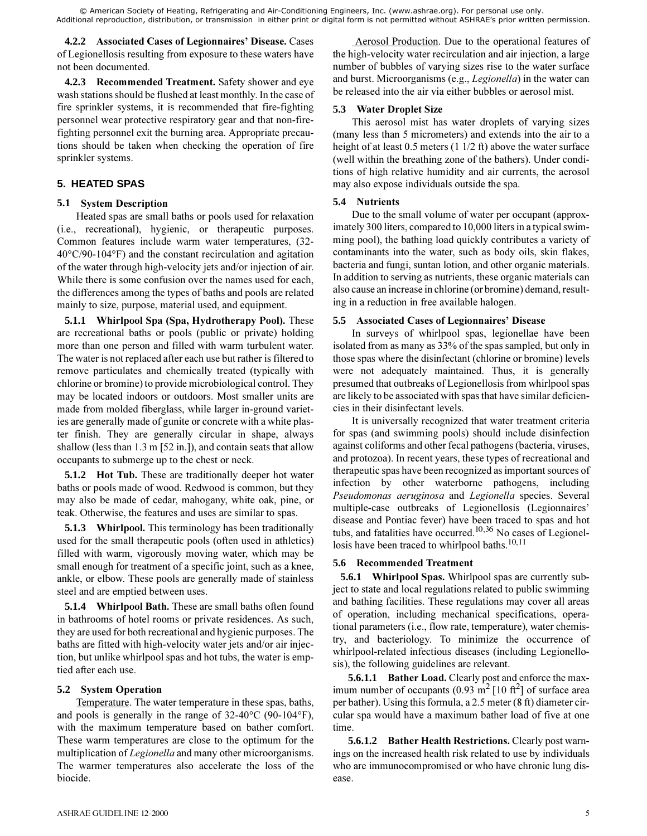4.2.2 Associated Cases of Legionnaires' Disease. Cases of Legionellosis resulting from exposure to these waters have not been documented.

4.2.3 Recommended Treatment. Safety shower and eye wash stations should be flushed at least monthly. In the case of fire sprinkler systems, it is recommended that fire-fighting personnel wear protective respiratory gear and that non-firefighting personnel exit the burning area. Appropriate precautions should be taken when checking the operation of fire sprinkler systems.

#### **5. HEATED SPAS**

#### **5.1 System Description**

Heated spas are small baths or pools used for relaxation (i.e., recreational), hygienic, or therapeutic purposes. Common features include warm water temperatures, (32- $40^{\circ}$ C/90-104 $^{\circ}$ F) and the constant recirculation and agitation of the water through high-velocity jets and/or injection of air. While there is some confusion over the names used for each, the differences among the types of baths and pools are related mainly to size, purpose, material used, and equipment.

5.1.1 Whirlpool Spa (Spa, Hydrotherapy Pool). These are recreational baths or pools (public or private) holding more than one person and filled with warm turbulent water. The water is not replaced after each use but rather is filtered to remove particulates and chemically treated (typically with chlorine or bromine) to provide microbiological control. They may be located indoors or outdoors. Most smaller units are made from molded fiberglass, while larger in-ground varieties are generally made of gunite or concrete with a white plaster finish. They are generally circular in shape, always shallow (less than 1.3 m [52 in.]), and contain seats that allow occupants to submerge up to the chest or neck.

**5.1.2** Hot Tub. These are traditionally deeper hot water baths or pools made of wood. Redwood is common, but they may also be made of cedar, mahogany, white oak, pine, or teak. Otherwise, the features and uses are similar to spas.

**5.1.3** Whirlpool. This terminology has been traditionally used for the small therapeutic pools (often used in athletics) filled with warm, vigorously moving water, which may be small enough for treatment of a specific joint, such as a knee, ankle, or elbow. These pools are generally made of stainless steel and are emptied between uses.

**5.1.4** Whirlpool Bath. These are small baths often found in bathrooms of hotel rooms or private residences. As such, they are used for both recreational and hygienic purposes. The baths are fitted with high-velocity water jets and/or air injection, but unlike whirlpool spas and hot tubs, the water is emptied after each use.

#### 5.2 System Operation

Temperature. The water temperature in these spas, baths, and pools is generally in the range of  $32-40^{\circ}$ C (90-104 $^{\circ}$ F), with the maximum temperature based on bather comfort. These warm temperatures are close to the optimum for the multiplication of Legionella and many other microorganisms. The warmer temperatures also accelerate the loss of the biocide.

Aerosol Production. Due to the operational features of the high-velocity water recirculation and air injection, a large number of bubbles of varying sizes rise to the water surface and burst. Microorganisms (e.g., *Legionella*) in the water can be released into the air via either bubbles or aerosol mist.

#### 5.3 Water Droplet Size

This aerosol mist has water droplets of varying sizes (many less than 5 micrometers) and extends into the air to a height of at least 0.5 meters (1 $1/2$  ft) above the water surface (well within the breathing zone of the bathers). Under conditions of high relative humidity and air currents, the aerosol may also expose individuals outside the spa.

#### 5.4 Nutrients

Due to the small volume of water per occupant (approximately 300 liters, compared to 10,000 liters in a typical swimming pool), the bathing load quickly contributes a variety of contaminants into the water, such as body oils, skin flakes, bacteria and fungi, suntan lotion, and other organic materials. In addition to serving as nutrients, these organic materials can also cause an increase in chlorine (or bromine) demand, resulting in a reduction in free available halogen.

#### 5.5 Associated Cases of Legionnaires' Disease

In surveys of whirlpool spas, legionellae have been isolated from as many as 33% of the spas sampled, but only in those spas where the disinfectant (chlorine or bromine) levels were not adequately maintained. Thus, it is generally presumed that outbreaks of Legionellosis from whirlpool spas are likely to be associated with spas that have similar deficiencies in their disinfectant levels.

It is universally recognized that water treatment criteria for spas (and swimming pools) should include disinfection against coliforms and other fecal pathogens (bacteria, viruses, and protozoa). In recent years, these types of recreational and therapeutic spas have been recognized as important sources of infection by other waterborne pathogens, including Pseudomonas aeruginosa and Legionella species. Several multiple-case outbreaks of Legionellosis (Legionnaires' disease and Pontiac fever) have been traced to spas and hot tubs, and fatalities have occurred.<sup>10,36</sup> No cases of Legionellosis have been traced to whirlpool baths.  $10,11$ 

#### 5.6 **Recommended Treatment**

**5.6.1** Whirlpool Spas. Whirlpool spas are currently subject to state and local regulations related to public swimming and bathing facilities. These regulations may cover all areas of operation, including mechanical specifications, operational parameters (i.e., flow rate, temperature), water chemistry, and bacteriology. To minimize the occurrence of whirlpool-related infectious diseases (including Legionellosis), the following guidelines are relevant.

5.6.1.1 Bather Load. Clearly post and enforce the maximum number of occupants (0.93 m<sup>2</sup> [10 ft<sup>2</sup>] of surface area per bather). Using this formula, a 2.5 meter (8 ft) diameter circular spa would have a maximum bather load of five at one time.

**5.6.1.2** Bather Health Restrictions. Clearly post warnings on the increased health risk related to use by individuals who are immunocompromised or who have chronic lung disease.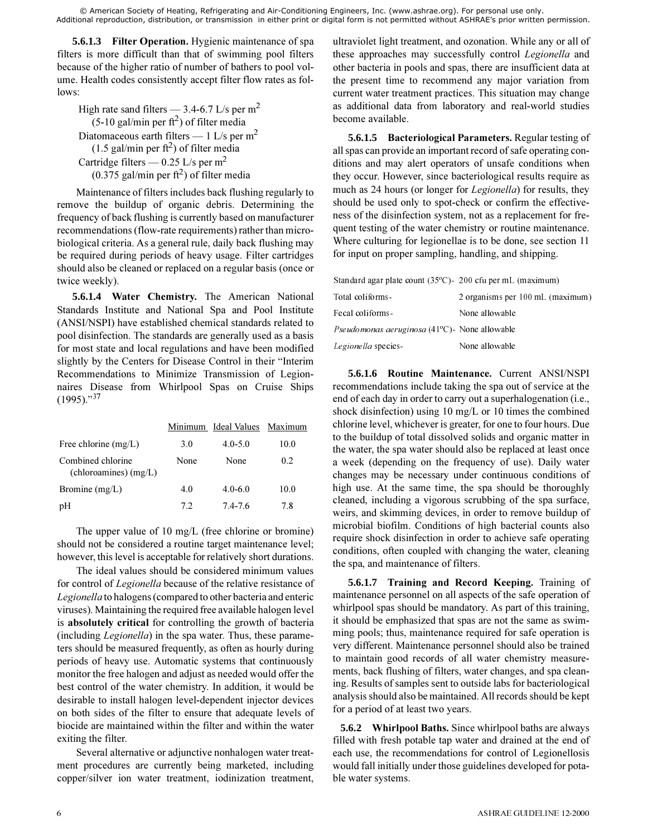5.6.1.3 Filter Operation. Hygienic maintenance of spa filters is more difficult than that of swimming pool filters because of the higher ratio of number of bathers to pool volume. Health codes consistently accept filter flow rates as follows:

High rate sand filters  $-$  3.4-6.7 L/s per m<sup>2</sup>  $(5-10 \text{ gal/min per ft}^2)$  of filter media Diatomaceous earth filters — 1 L/s per m<sup>2</sup>  $(1.5 \text{ gal/min per ft}^2)$  of filter media Cartridge filters — 0.25 L/s per m<sup>2</sup>  $(0.375 \text{ gal/min per ft}^2)$  of filter media

Maintenance of filters includes back flushing regularly to remove the buildup of organic debris. Determining the frequency of back flushing is currently based on manufacturer recommendations (flow-rate requirements) rather than microbiological criteria. As a general rule, daily back flushing may be required during periods of heavy usage. Filter cartridges should also be cleaned or replaced on a regular basis (once or twice weekly).

5.6.1.4 Water Chemistry. The American National Standards Institute and National Spa and Pool Institute (ANSI/NSPI) have established chemical standards related to pool disinfection. The standards are generally used as a basis for most state and local regulations and have been modified slightly by the Centers for Disease Control in their "Interim Recommendations to Minimize Transmission of Legionnaires Disease from Whirlpool Spas on Cruise Ships  $(1995)$ ."<sup>37</sup>

|                                              | Minimum | Ideal Values | Maximum |
|----------------------------------------------|---------|--------------|---------|
| Free chlorine $(mg/L)$                       | 3.0     | $4.0 - 5.0$  | 10.0    |
| Combined chlorine<br>(chloroamines) $(mg/L)$ | None    | None         | 0.2     |
| Bromine $(mg/L)$                             | 4.0     | $4.0 - 6.0$  | 10.0    |
| pH                                           | 72      | 7.4-7.6      | 7.8     |

The upper value of 10 mg/L (free chlorine or bromine) should not be considered a routine target maintenance level; however, this level is acceptable for relatively short durations.

The ideal values should be considered minimum values for control of *Legionella* because of the relative resistance of Legionella to halogens (compared to other bacteria and enteric viruses). Maintaining the required free available halogen level is absolutely critical for controlling the growth of bacteria (including *Legionella*) in the spa water. Thus, these parameters should be measured frequently, as often as hourly during periods of heavy use. Automatic systems that continuously monitor the free halogen and adjust as needed would offer the best control of the water chemistry. In addition, it would be desirable to install halogen level-dependent injector devices on both sides of the filter to ensure that adequate levels of biocide are maintained within the filter and within the water exiting the filter.

Several alternative or adjunctive nonhalogen water treatment procedures are currently being marketed, including copper/silver ion water treatment, iodinization treatment, ultraviolet light treatment, and ozonation. While any or all of these approaches may successfully control Legionella and other bacteria in pools and spas, there are insufficient data at the present time to recommend any major variation from current water treatment practices. This situation may change as additional data from laboratory and real-world studies become available.

5.6.1.5 Bacteriological Parameters. Regular testing of all spas can provide an important record of safe operating conditions and may alert operators of unsafe conditions when they occur. However, since bacteriological results require as much as 24 hours (or longer for *Legionella*) for results, they should be used only to spot-check or confirm the effectiveness of the disinfection system, not as a replacement for frequent testing of the water chemistry or routine maintenance. Where culturing for legionellae is to be done, see section 11 for input on proper sampling, handling, and shipping.

Standard agar plate count (35°C) 200 cfu per mL (maximum)

| Total coliforms                                                | 2 organisms per 100 mL (maximum) |
|----------------------------------------------------------------|----------------------------------|
| Fecal coliforms                                                | None allowable                   |
| <i>Pseudomonas aeruginosa</i> (41 $^{\circ}$ C) None allowable |                                  |
| Legionella species                                             | None allowable                   |
|                                                                |                                  |

5.6.1.6 Routine Maintenance. Current ANSI/NSPI recommendations include taking the spa out of service at the end of each day in order to carry out a superhalogenation (i.e., shock disinfection) using 10 mg/L or 10 times the combined chlorine level, whichever is greater, for one to four hours. Due to the buildup of total dissolved solids and organic matter in the water, the spa water should also be replaced at least once a week (depending on the frequency of use). Daily water changes may be necessary under continuous conditions of high use. At the same time, the spa should be thoroughly cleaned, including a vigorous scrubbing of the spa surface, weirs, and skimming devices, in order to remove buildup of microbial biofilm. Conditions of high bacterial counts also require shock disinfection in order to achieve safe operating conditions, often coupled with changing the water, cleaning the spa, and maintenance of filters.

5.6.1.7 Training and Record Keeping. Training of maintenance personnel on all aspects of the safe operation of whirlpool spas should be mandatory. As part of this training, it should be emphasized that spas are not the same as swimming pools; thus, maintenance required for safe operation is very different. Maintenance personnel should also be trained to maintain good records of all water chemistry measurements, back flushing of filters, water changes, and spa cleaning. Results of samples sent to outside labs for bacteriological analysis should also be maintained. All records should be kept for a period of at least two years.

**5.6.2** Whirlpool Baths. Since whirlpool baths are always filled with fresh potable tap water and drained at the end of each use, the recommendations for control of Legionellosis would fall initially under those guidelines developed for potable water systems.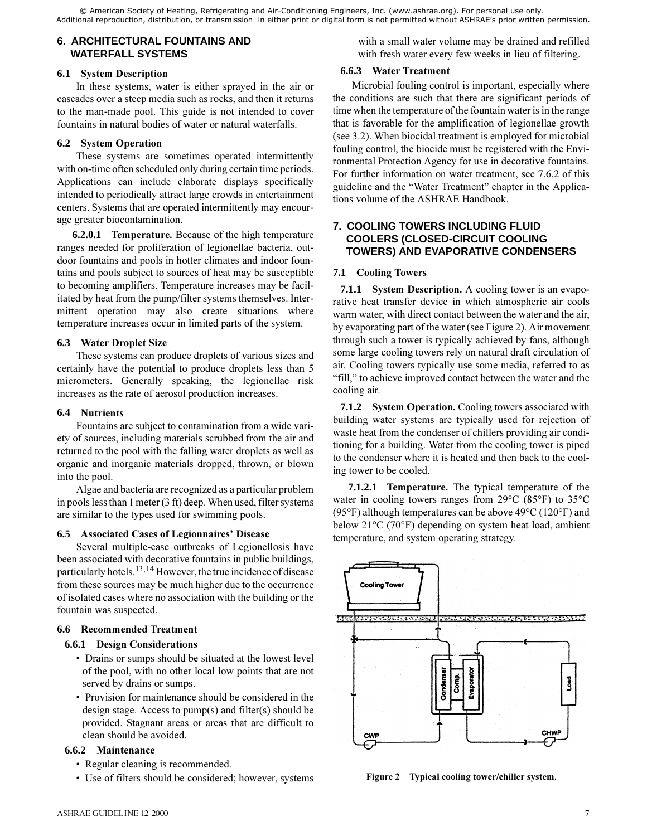#### **6. ARCHITECTURAL FOUNTAINS AND WATERFALL SYSTEMS**

#### **6.1 System Description**

In these systems, water is either sprayed in the air or cascades over a steep media such as rocks, and then it returns to the man-made pool. This guide is not intended to cover fountains in natural bodies of water or natural waterfalls.

#### **6.2** System Operation

These systems are sometimes operated intermittently with on-time often scheduled only during certain time periods. Applications can include elaborate displays specifically intended to periodically attract large crowds in entertainment centers. Systems that are operated intermittently may encourage greater biocontamination.

**6.2.0.1 Temperature.** Because of the high temperature ranges needed for proliferation of legionellae bacteria, outdoor fountains and pools in hotter climates and indoor fountains and pools subject to sources of heat may be susceptible to becoming amplifiers. Temperature increases may be facilitated by heat from the pump/filter systems themselves. Intermittent operation may also create situations where temperature increases occur in limited parts of the system.

#### 6.3 Water Droplet Size

These systems can produce droplets of various sizes and certainly have the potential to produce droplets less than 5 micrometers. Generally speaking, the legionellae risk increases as the rate of aerosol production increases.

#### 6.4 Nutrients

Fountains are subject to contamination from a wide variety of sources, including materials scrubbed from the air and returned to the pool with the falling water droplets as well as organic and inorganic materials dropped, thrown, or blown into the pool.

Algae and bacteria are recognized as a particular problem in pools less than  $1$  meter  $(3 \text{ ft})$  deep. When used, filter systems are similar to the types used for swimming pools.

#### $6.5$ **Associated Cases of Legionnaires' Disease**

Several multiple-case outbreaks of Legionellosis have been associated with decorative fountains in public buildings, particularly hotels.<sup>13,14</sup> However, the true incidence of disease from these sources may be much higher due to the occurrence of isolated cases where no association with the building or the fountain was suspected.

#### **6.6 Recommended Treatment**

#### **6.6.1 Design Considerations**

- Drains or sumps should be situated at the lowest level of the pool, with no other local low points that are not served by drains or sumps.
- Provision for maintenance should be considered in the design stage. Access to  $pump(s)$  and filter(s) should be provided. Stagnant areas or areas that are difficult to clean should be avoided.

#### 6.6.2 Maintenance

- Regular cleaning is recommended.
- Use of filters should be considered; however, systems

with a small water volume may be drained and refilled with fresh water every few weeks in lieu of filtering.

#### 6.6.3 Water Treatment

Microbial fouling control is important, especially where the conditions are such that there are significant periods of time when the temperature of the fountain water is in the range that is favorable for the amplification of legionellae growth (see 3.2). When biocidal treatment is employed for microbial fouling control, the biocide must be registered with the Environmental Protection Agency for use in decorative fountains. For further information on water treatment, see 7.6.2 of this guideline and the "Water Treatment" chapter in the Applications volume of the ASHRAE Handbook.

#### 7. COOLING TOWERS INCLUDING FLUID **COOLERS (CLOSED-CIRCUIT COOLING TOWERS) AND EVAPORATIVE CONDENSERS**

#### 7.1 Cooling Towers

7.1.1 System Description. A cooling tower is an evaporative heat transfer device in which atmospheric air cools warm water, with direct contact between the water and the air, by evaporating part of the water (see Figure 2). Air movement through such a tower is typically achieved by fans, although some large cooling towers rely on natural draft circulation of air. Cooling towers typically use some media, referred to as "fill," to achieve improved contact between the water and the cooling air.

**7.1.2** System Operation. Cooling towers associated with building water systems are typically used for rejection of waste heat from the condenser of chillers providing air conditioning for a building. Water from the cooling tower is piped to the condenser where it is heated and then back to the cooling tower to be cooled.

**7.1.2.1 Temperature.** The typical temperature of the water in cooling towers ranges from 29 $\rm ^{o}C$  (85 $\rm ^{o}F$ ) to 35 $\rm ^{o}C$ (95°F) although temperatures can be above 49°C (120°F) and below 21°C (70°F) depending on system heat load, ambient temperature, and system operating strategy.



Figure 2 Typical cooling tower/chiller system.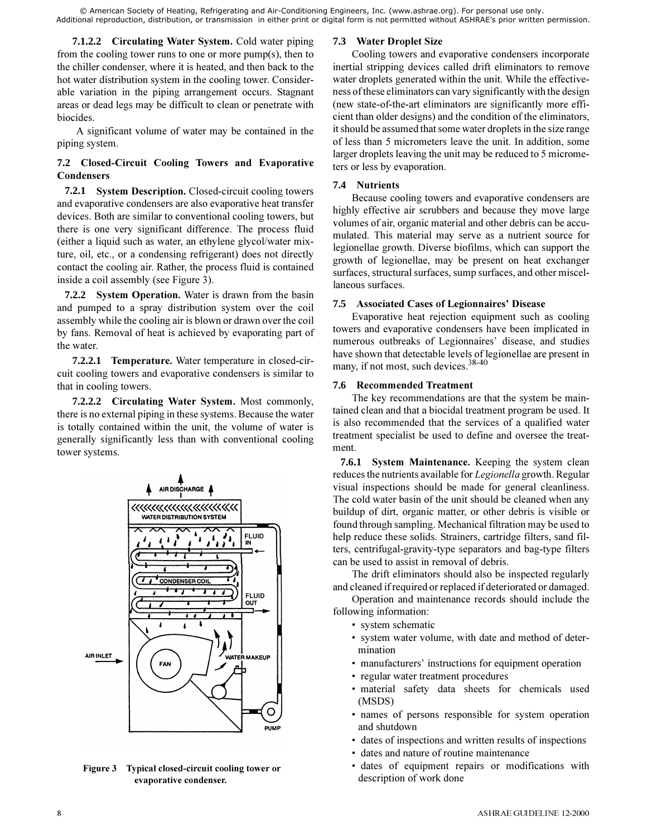7.1.2.2 Circulating Water System. Cold water piping from the cooling tower runs to one or more  $pump(s)$ , then to the chiller condenser, where it is heated, and then back to the hot water distribution system in the cooling tower. Considerable variation in the piping arrangement occurs. Stagnant areas or dead legs may be difficult to clean or penetrate with biocides.

A significant volume of water may be contained in the piping system.

#### 7.2 Closed-Circuit Cooling Towers and Evaporative **Condensers**

**7.2.1 System Description.** Closed-circuit cooling towers and evaporative condensers are also evaporative heat transfer devices. Both are similar to conventional cooling towers, but there is one very significant difference. The process fluid (either a liquid such as water, an ethylene glycol/water mixture, oil, etc., or a condensing refrigerant) does not directly contact the cooling air. Rather, the process fluid is contained inside a coil assembly (see Figure 3).

7.2.2 System Operation. Water is drawn from the basin and pumped to a spray distribution system over the coil assembly while the cooling air is blown or drawn over the coil by fans. Removal of heat is achieved by evaporating part of the water.

7.2.2.1 Temperature. Water temperature in closed-circuit cooling towers and evaporative condensers is similar to that in cooling towers.

7.2.2.2 Circulating Water System. Most commonly, there is no external piping in these systems. Because the water is totally contained within the unit, the volume of water is generally significantly less than with conventional cooling tower systems.



Figure 3 Typical closed-circuit cooling tower or evaporative condenser.

#### **7.3** Water Droplet Size

Cooling towers and evaporative condensers incorporate inertial stripping devices called drift eliminators to remove water droplets generated within the unit. While the effectiveness of these eliminators can vary significantly with the design (new state-of-the-art eliminators are significantly more efficient than older designs) and the condition of the eliminators, it should be assumed that some water droplets in the size range of less than 5 micrometers leave the unit. In addition, some larger droplets leaving the unit may be reduced to 5 micrometers or less by evaporation.

#### 7.4 Nutrients

Because cooling towers and evaporative condensers are highly effective air scrubbers and because they move large volumes of air, organic material and other debris can be accumulated. This material may serve as a nutrient source for legionellae growth. Diverse biofilms, which can support the growth of legionellae, may be present on heat exchanger surfaces, structural surfaces, sump surfaces, and other miscellaneous surfaces.

#### **7.5** Associated Cases of Legionnaires' Disease

Evaporative heat rejection equipment such as cooling towers and evaporative condensers have been implicated in numerous outbreaks of Legionnaires' disease, and studies have shown that detectable levels of legionellae are present in many, if not most, such devices.  $38-40$ 

#### **7.6 Recommended Treatment**

The key recommendations are that the system be maintained clean and that a biocidal treatment program be used. It is also recommended that the services of a qualified water treatment specialist be used to define and oversee the treatment.

7.6.1 System Maintenance. Keeping the system clean reduces the nutrients available for Legionella growth. Regular visual inspections should be made for general cleanliness. The cold water basin of the unit should be cleaned when any buildup of dirt, organic matter, or other debris is visible or found through sampling. Mechanical filtration may be used to help reduce these solids. Strainers, cartridge filters, sand filters, centrifugal-gravity-type separators and bag-type filters can be used to assist in removal of debris.

The drift eliminators should also be inspected regularly and cleaned if required or replaced if deteriorated or damaged.

Operation and maintenance records should include the following information:

- system schematic
- system water volume, with date and method of determination
- manufacturers' instructions for equipment operation
- regular water treatment procedures
- · material safety data sheets for chemicals used (MSDS)
- names of persons responsible for system operation and shutdown
- dates of inspections and written results of inspections
- dates and nature of routine maintenance
- · dates of equipment repairs or modifications with description of work done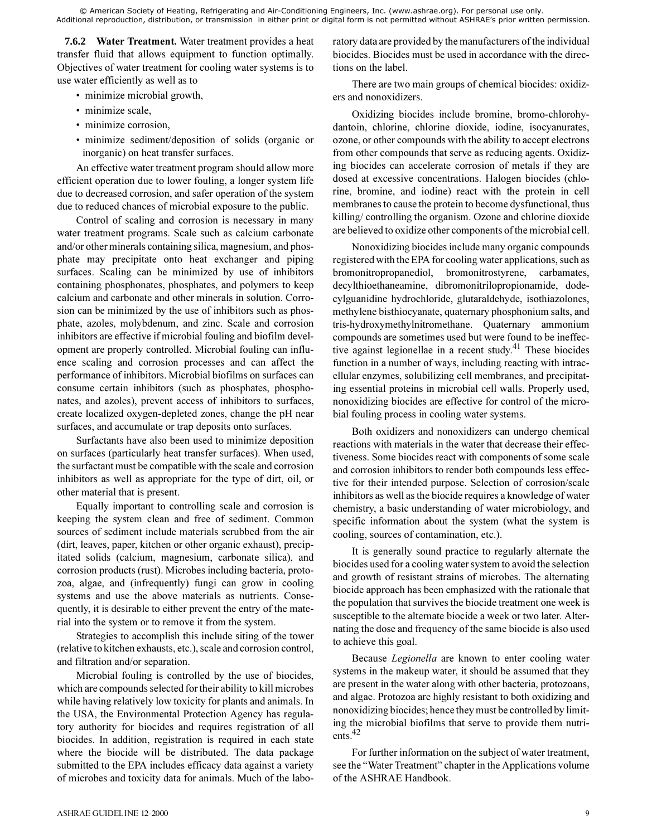7.6.2 Water Treatment. Water treatment provides a heat transfer fluid that allows equipment to function optimally. Objectives of water treatment for cooling water systems is to use water efficiently as well as to

- · minimize microbial growth.
- · minimize scale,
- minimize corrosion,
- minimize sediment/deposition of solids (organic or inorganic) on heat transfer surfaces.

An effective water treatment program should allow more efficient operation due to lower fouling, a longer system life due to decreased corrosion, and safer operation of the system due to reduced chances of microbial exposure to the public.

Control of scaling and corrosion is necessary in many water treatment programs. Scale such as calcium carbonate and/or other minerals containing silica, magnesium, and phosphate may precipitate onto heat exchanger and piping surfaces. Scaling can be minimized by use of inhibitors containing phosphonates, phosphates, and polymers to keep calcium and carbonate and other minerals in solution. Corrosion can be minimized by the use of inhibitors such as phosphate, azoles, molybdenum, and zinc. Scale and corrosion inhibitors are effective if microbial fouling and biofilm development are properly controlled. Microbial fouling can influence scaling and corrosion processes and can affect the performance of inhibitors. Microbial biofilms on surfaces can consume certain inhibitors (such as phosphates, phosphonates, and azoles), prevent access of inhibitors to surfaces, create localized oxygen-depleted zones, change the pH near surfaces, and accumulate or trap deposits onto surfaces.

Surfactants have also been used to minimize deposition on surfaces (particularly heat transfer surfaces). When used, the surfactant must be compatible with the scale and corrosion inhibitors as well as appropriate for the type of dirt, oil, or other material that is present.

Equally important to controlling scale and corrosion is keeping the system clean and free of sediment. Common sources of sediment include materials scrubbed from the air (dirt, leaves, paper, kitchen or other organic exhaust), precipitated solids (calcium, magnesium, carbonate silica), and corrosion products (rust). Microbes including bacteria, protozoa, algae, and (infrequently) fungi can grow in cooling systems and use the above materials as nutrients. Consequently, it is desirable to either prevent the entry of the material into the system or to remove it from the system.

Strategies to accomplish this include siting of the tower (relative to kitchen exhausts, etc.), scale and corrosion control, and filtration and/or separation.

Microbial fouling is controlled by the use of biocides, which are compounds selected for their ability to kill microbes while having relatively low toxicity for plants and animals. In the USA, the Environmental Protection Agency has regulatory authority for biocides and requires registration of all biocides. In addition, registration is required in each state where the biocide will be distributed. The data package submitted to the EPA includes efficacy data against a variety of microbes and toxicity data for animals. Much of the laboratory data are provided by the manufacturers of the individual biocides. Biocides must be used in accordance with the directions on the label.

There are two main groups of chemical biocides: oxidizers and nonoxidizers.

Oxidizing biocides include bromine, bromo-chlorohydantoin, chlorine, chlorine dioxide, iodine, isocyanurates, ozone, or other compounds with the ability to accept electrons from other compounds that serve as reducing agents. Oxidizing biocides can accelerate corrosion of metals if they are dosed at excessive concentrations. Halogen biocides (chlorine, bromine, and iodine) react with the protein in cell membranes to cause the protein to become dysfunctional, thus killing/controlling the organism. Ozone and chlorine dioxide are believed to oxidize other components of the microbial cell.

Nonoxidizing biocides include many organic compounds registered with the EPA for cooling water applications, such as bromonitropropanediol, bromonitrostyrene, carbamates, decylthioethaneamine, dibromonitrilopropionamide, dodecylguanidine hydrochloride, glutaraldehyde, isothiazolones, methylene bisthiocyanate, quaternary phosphonium salts, and tris-hydroxymethylnitromethane. Quaternary ammonium compounds are sometimes used but were found to be ineffective against legionellae in a recent study.<sup>41</sup> These biocides function in a number of ways, including reacting with intracellular enzymes, solubilizing cell membranes, and precipitating essential proteins in microbial cell walls. Properly used, nonoxidizing biocides are effective for control of the microbial fouling process in cooling water systems.

Both oxidizers and nonoxidizers can undergo chemical reactions with materials in the water that decrease their effectiveness. Some biocides react with components of some scale and corrosion inhibitors to render both compounds less effective for their intended purpose. Selection of corrosion/scale inhibitors as well as the biocide requires a knowledge of water chemistry, a basic understanding of water microbiology, and specific information about the system (what the system is cooling, sources of contamination, etc.).

It is generally sound practice to regularly alternate the biocides used for a cooling water system to avoid the selection and growth of resistant strains of microbes. The alternating biocide approach has been emphasized with the rationale that the population that survives the biocide treatment one week is susceptible to the alternate biocide a week or two later. Alternating the dose and frequency of the same biocide is also used to achieve this goal.

Because Legionella are known to enter cooling water systems in the makeup water, it should be assumed that they are present in the water along with other bacteria, protozoans, and algae. Protozoa are highly resistant to both oxidizing and nonoxidizing biocides; hence they must be controlled by limiting the microbial biofilms that serve to provide them nutrients. $42$ 

For further information on the subject of water treatment, see the "Water Treatment" chapter in the Applications volume of the ASHRAE Handbook.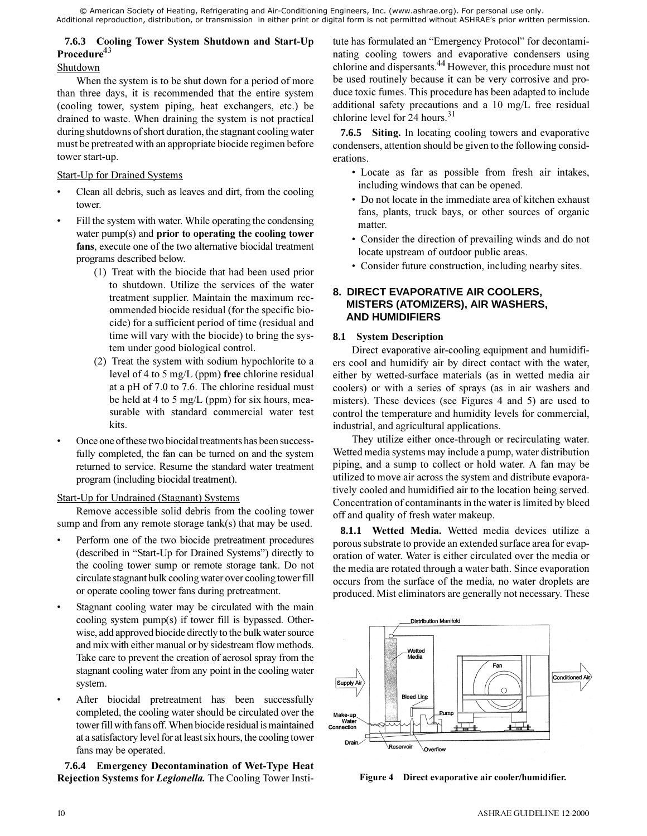### 7.6.3 Cooling Tower System Shutdown and Start-Up Procedure<sup>43</sup>

#### Shutdown

When the system is to be shut down for a period of more than three days, it is recommended that the entire system (cooling tower, system piping, heat exchangers, etc.) be drained to waste. When draining the system is not practical during shutdowns of short duration, the stagnant cooling water must be pretreated with an appropriate biocide regimen before tower start-up.

#### Start-Up for Drained Systems

- Clean all debris, such as leaves and dirt, from the cooling tower.
- Fill the system with water. While operating the condensing water pump(s) and prior to operating the cooling tower fans, execute one of the two alternative biocidal treatment programs described below.
	- (1) Treat with the biocide that had been used prior to shutdown. Utilize the services of the water treatment supplier. Maintain the maximum recommended biocide residual (for the specific biocide) for a sufficient period of time (residual and time will vary with the biocide) to bring the system under good biological control.
	- (2) Treat the system with sodium hypochlorite to a level of 4 to 5 mg/L (ppm) free chlorine residual at a pH of 7.0 to 7.6. The chlorine residual must be held at 4 to 5 mg/L (ppm) for six hours, measurable with standard commercial water test kits
- Once one of these two biocidal treatments has been successfully completed, the fan can be turned on and the system returned to service. Resume the standard water treatment program (including biocidal treatment).

#### **Start-Up for Undrained (Stagnant) Systems**

Remove accessible solid debris from the cooling tower sump and from any remote storage tank(s) that may be used.

- Perform one of the two biocide pretreatment procedures (described in "Start-Up for Drained Systems") directly to the cooling tower sump or remote storage tank. Do not circulate stagnant bulk cooling water over cooling tower fill or operate cooling tower fans during pretreatment.
- Stagnant cooling water may be circulated with the main cooling system pump(s) if tower fill is bypassed. Otherwise, add approved biocide directly to the bulk water source and mix with either manual or by sidestream flow methods. Take care to prevent the creation of aerosol spray from the stagnant cooling water from any point in the cooling water system.
- After biocidal pretreatment has been successfully completed, the cooling water should be circulated over the tower fill with fans off. When biocide residual is maintained at a satisfactory level for at least six hours, the cooling tower fans may be operated.

7.6.4 Emergency Decontamination of Wet-Type Heat Rejection Systems for Legionella. The Cooling Tower Institute has formulated an "Emergency Protocol" for decontaminating cooling towers and evaporative condensers using chlorine and dispersants.<sup>44</sup> However, this procedure must not be used routinely because it can be very corrosive and produce toxic fumes. This procedure has been adapted to include additional safety precautions and a 10 mg/L free residual chlorine level for 24 hours.<sup>31</sup>

7.6.5 Siting. In locating cooling towers and evaporative condensers, attention should be given to the following considerations.

- · Locate as far as possible from fresh air intakes, including windows that can be opened.
- Do not locate in the immediate area of kitchen exhaust fans, plants, truck bays, or other sources of organic matter.
- Consider the direction of prevailing winds and do not locate upstream of outdoor public areas.
- Consider future construction, including nearby sites.

#### 8. DIRECT EVAPORATIVE AIR COOLERS, **MISTERS (ATOMIZERS), AIR WASHERS, AND HUMIDIFIERS**

#### **8.1** System Description

Direct evaporative air-cooling equipment and humidifiers cool and humidify air by direct contact with the water. either by wetted-surface materials (as in wetted media air coolers) or with a series of sprays (as in air washers and misters). These devices (see Figures 4 and 5) are used to control the temperature and humidity levels for commercial, industrial, and agricultural applications.

They utilize either once-through or recirculating water. Wetted media systems may include a pump, water distribution piping, and a sump to collect or hold water. A fan may be utilized to move air across the system and distribute evaporatively cooled and humidified air to the location being served. Concentration of contaminants in the water is limited by bleed off and quality of fresh water makeup.

8.1.1 Wetted Media. Wetted media devices utilize a porous substrate to provide an extended surface area for evaporation of water. Water is either circulated over the media or the media are rotated through a water bath. Since evaporation occurs from the surface of the media, no water droplets are produced. Mist eliminators are generally not necessary. These



Figure 4 Direct evaporative air cooler/humidifier.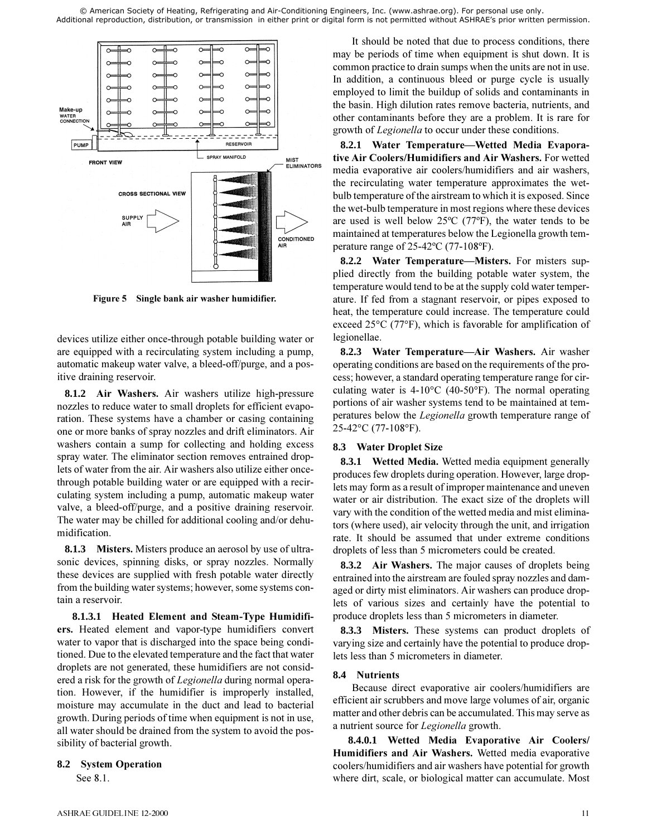

Figure 5 Single bank air washer humidifier.

devices utilize either once-through potable building water or are equipped with a recirculating system including a pump, automatic makeup water valve, a bleed-off/purge, and a positive draining reservoir.

8.1.2 Air Washers. Air washers utilize high-pressure nozzles to reduce water to small droplets for efficient evaporation. These systems have a chamber or casing containing one or more banks of spray nozzles and drift eliminators. Air washers contain a sump for collecting and holding excess spray water. The eliminator section removes entrained droplets of water from the air. Air washers also utilize either oncethrough potable building water or are equipped with a recirculating system including a pump, automatic makeup water valve, a bleed-off/purge, and a positive draining reservoir. The water may be chilled for additional cooling and/or dehumidification.

**8.1.3** Misters. Misters produce an aerosol by use of ultrasonic devices, spinning disks, or spray nozzles. Normally these devices are supplied with fresh potable water directly from the building water systems; however, some systems contain a reservoir.

8.1.3.1 Heated Element and Steam-Type Humidifiers. Heated element and vapor-type humidifiers convert water to vapor that is discharged into the space being conditioned. Due to the elevated temperature and the fact that water droplets are not generated, these humidifiers are not considered a risk for the growth of *Legionella* during normal operation. However, if the humidifier is improperly installed, moisture may accumulate in the duct and lead to bacterial growth. During periods of time when equipment is not in use, all water should be drained from the system to avoid the possibility of bacterial growth.

#### 8.2 System Operation

See 8.1.

It should be noted that due to process conditions, there may be periods of time when equipment is shut down. It is common practice to drain sumps when the units are not in use. In addition, a continuous bleed or purge cycle is usually employed to limit the buildup of solids and contaminants in the basin. High dilution rates remove bacteria, nutrients, and other contaminants before they are a problem. It is rare for growth of *Legionella* to occur under these conditions.

8.2.1 Water Temperature-Wetted Media Evaporative Air Coolers/Humidifiers and Air Washers. For wetted media evaporative air coolers/humidifiers and air washers. the recirculating water temperature approximates the wetbulb temperature of the airstream to which it is exposed. Since the wet-bulb temperature in most regions where these devices are used is well below  $25^{\circ}$ C (77 $^{\circ}$ F), the water tends to be maintained at temperatures below the Legionella growth temperature range of 25-42°C (77-108°F).

8.2.2 Water Temperature—Misters. For misters supplied directly from the building potable water system, the temperature would tend to be at the supply cold water temperature. If fed from a stagnant reservoir, or pipes exposed to heat, the temperature could increase. The temperature could exceed  $25^{\circ}$ C (77 $^{\circ}$ F), which is favorable for amplification of legionellae.

8.2.3 Water Temperature—Air Washers. Air washer operating conditions are based on the requirements of the process; however, a standard operating temperature range for circulating water is 4-10 $^{\circ}$ C (40-50 $^{\circ}$ F). The normal operating portions of air washer systems tend to be maintained at temperatures below the Legionella growth temperature range of 25-42°C (77-108°F).

#### 8.3 Water Droplet Size

8.3.1 Wetted Media. Wetted media equipment generally produces few droplets during operation. However, large droplets may form as a result of improper maintenance and uneven water or air distribution. The exact size of the droplets will vary with the condition of the wetted media and mist eliminators (where used), air velocity through the unit, and irrigation rate. It should be assumed that under extreme conditions droplets of less than 5 micrometers could be created.

8.3.2 Air Washers. The major causes of droplets being entrained into the airstream are fouled spray nozzles and damaged or dirty mist eliminators. Air washers can produce droplets of various sizes and certainly have the potential to produce droplets less than 5 micrometers in diameter.

8.3.3 Misters. These systems can product droplets of varying size and certainly have the potential to produce droplets less than 5 micrometers in diameter.

#### 8.4 Nutrients

Because direct evaporative air coolers/humidifiers are efficient air scrubbers and move large volumes of air, organic matter and other debris can be accumulated. This may serve as a nutrient source for Legionella growth.

8.4.0.1 Wetted Media Evaporative Air Coolers/ Humidifiers and Air Washers. Wetted media evaporative coolers/humidifiers and air washers have potential for growth where dirt, scale, or biological matter can accumulate. Most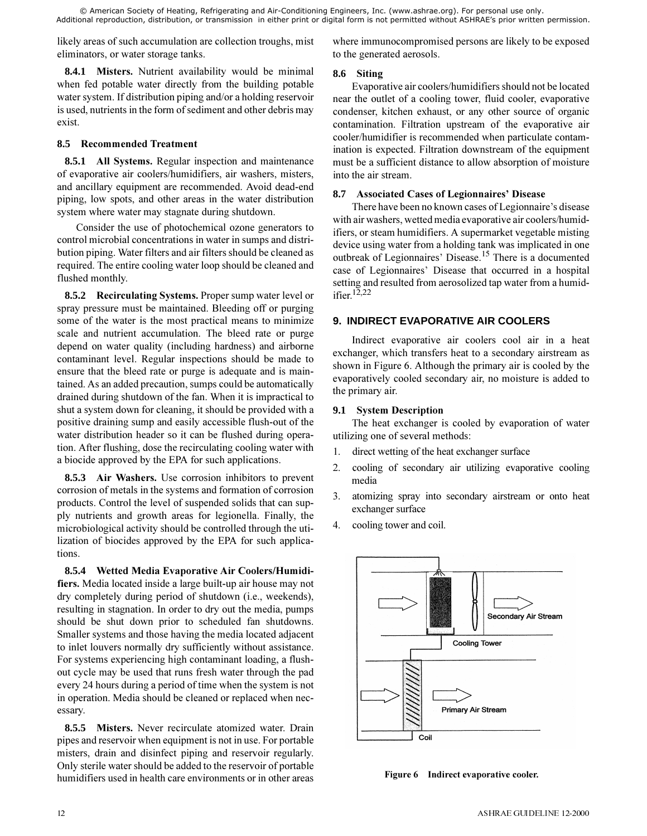likely areas of such accumulation are collection troughs, mist eliminators, or water storage tanks.

**8.4.1 Misters.** Nutrient availability would be minimal when fed potable water directly from the building potable water system. If distribution piping and/or a holding reservoir is used, nutrients in the form of sediment and other debris may exist.

#### **Recommended Treatment** 8.5

8.5.1 All Systems. Regular inspection and maintenance of evaporative air coolers/humidifiers, air washers, misters, and ancillary equipment are recommended. Avoid dead-end piping, low spots, and other areas in the water distribution system where water may stagnate during shutdown.

Consider the use of photochemical ozone generators to control microbial concentrations in water in sumps and distribution piping. Water filters and air filters should be cleaned as required. The entire cooling water loop should be cleaned and flushed monthly.

**8.5.2** Recirculating Systems. Proper sump water level or spray pressure must be maintained. Bleeding off or purging some of the water is the most practical means to minimize scale and nutrient accumulation. The bleed rate or purge depend on water quality (including hardness) and airborne contaminant level. Regular inspections should be made to ensure that the bleed rate or purge is adequate and is maintained. As an added precaution, sumps could be automatically drained during shutdown of the fan. When it is impractical to shut a system down for cleaning, it should be provided with a positive draining sump and easily accessible flush-out of the water distribution header so it can be flushed during operation. After flushing, dose the recirculating cooling water with a biocide approved by the EPA for such applications.

8.5.3 Air Washers. Use corrosion inhibitors to prevent corrosion of metals in the systems and formation of corrosion products. Control the level of suspended solids that can supply nutrients and growth areas for legionella. Finally, the microbiological activity should be controlled through the utilization of biocides approved by the EPA for such applications.

8.5.4 Wetted Media Evaporative Air Coolers/Humidifiers. Media located inside a large built-up air house may not dry completely during period of shutdown (i.e., weekends), resulting in stagnation. In order to dry out the media, pumps should be shut down prior to scheduled fan shutdowns. Smaller systems and those having the media located adjacent to inlet louvers normally dry sufficiently without assistance. For systems experiencing high contaminant loading, a flushout cycle may be used that runs fresh water through the pad every 24 hours during a period of time when the system is not in operation. Media should be cleaned or replaced when necessary.

8.5.5 Misters. Never recirculate atomized water. Drain pipes and reservoir when equipment is not in use. For portable misters, drain and disinfect piping and reservoir regularly. Only sterile water should be added to the reservoir of portable humidifiers used in health care environments or in other areas where immunocompromised persons are likely to be exposed to the generated aerosols.

#### 8.6 Siting

Evaporative air coolers/humidifiers should not be located near the outlet of a cooling tower, fluid cooler, evaporative condenser, kitchen exhaust, or any other source of organic contamination. Filtration upstream of the evaporative air cooler/humidifier is recommended when particulate contamination is expected. Filtration downstream of the equipment must be a sufficient distance to allow absorption of moisture into the air stream.

#### 8.7 Associated Cases of Legionnaires' Disease

There have been no known cases of Legionnaire's disease with air washers, wetted media evaporative air coolers/humidifiers, or steam humidifiers. A supermarket vegetable misting device using water from a holding tank was implicated in one outbreak of Legionnaires' Disease.<sup>15</sup> There is a documented case of Legionnaires' Disease that occurred in a hospital setting and resulted from aerosolized tap water from a humidifier.  $1\overline{2}$ , 22

#### **9. INDIRECT EVAPORATIVE AIR COOLERS**

Indirect evaporative air coolers cool air in a heat exchanger, which transfers heat to a secondary airstream as shown in Figure 6. Although the primary air is cooled by the evaporatively cooled secondary air, no moisture is added to the primary air.

#### 9.1 System Description

The heat exchanger is cooled by evaporation of water utilizing one of several methods:

- direct wetting of the heat exchanger surface 1.
- cooling of secondary air utilizing evaporative cooling 2. media
- atomizing spray into secondary airstream or onto heat 3. exchanger surface
- cooling tower and coil.  $\overline{4}$ .



Figure 6 Indirect evaporative cooler.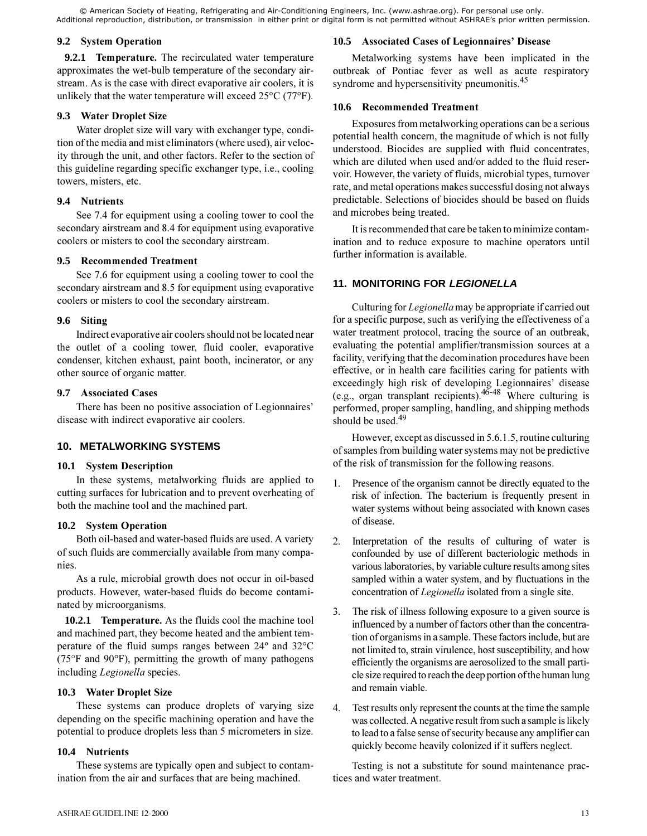#### 9.2 System Operation

9.2.1 Temperature. The recirculated water temperature approximates the wet-bulb temperature of the secondary airstream. As is the case with direct evaporative air coolers, it is unlikely that the water temperature will exceed  $25^{\circ}$ C (77 $^{\circ}$ F).

#### 9.3 Water Droplet Size

Water droplet size will vary with exchanger type, condition of the media and mist eliminators (where used), air velocity through the unit, and other factors. Refer to the section of this guideline regarding specific exchanger type, i.e., cooling towers, misters, etc.

#### 9.4 Nutrients

See 7.4 for equipment using a cooling tower to cool the secondary airstream and 8.4 for equipment using evaporative coolers or misters to cool the secondary airstream.

#### 9.5 Recommended Treatment

See 7.6 for equipment using a cooling tower to cool the secondary airstream and 8.5 for equipment using evaporative coolers or misters to cool the secondary airstream.

#### 9.6 Siting

Indirect evaporative air coolers should not be located near the outlet of a cooling tower, fluid cooler, evaporative condenser, kitchen exhaust, paint booth, incinerator, or any other source of organic matter.

#### 9.7 Associated Cases

There has been no positive association of Legionnaires' disease with indirect evaporative air coolers.

#### **10. METALWORKING SYSTEMS**

#### 10.1 System Description

In these systems, metalworking fluids are applied to cutting surfaces for lubrication and to prevent overheating of both the machine tool and the machined part.

#### 10.2 System Operation

Both oil-based and water-based fluids are used. A variety of such fluids are commercially available from many companies

As a rule, microbial growth does not occur in oil-based products. However, water-based fluids do become contaminated by microorganisms.

10.2.1 Temperature. As the fluids cool the machine tool and machined part, they become heated and the ambient temperature of the fluid sumps ranges between 24° and 32°C  $(75^{\circ}F$  and  $90^{\circ}F$ ), permitting the growth of many pathogens including Legionella species.

#### 10.3 Water Droplet Size

These systems can produce droplets of varying size depending on the specific machining operation and have the potential to produce droplets less than 5 micrometers in size.

#### 10.4 Nutrients

These systems are typically open and subject to contamination from the air and surfaces that are being machined.

#### 10.5 Associated Cases of Legionnaires' Disease

Metalworking systems have been implicated in the outbreak of Pontiac fever as well as acute respiratory syndrome and hypersensitivity pneumonitis.<sup>45</sup>

#### 10.6 Recommended Treatment

Exposures from metalworking operations can be a serious potential health concern, the magnitude of which is not fully understood. Biocides are supplied with fluid concentrates. which are diluted when used and/or added to the fluid reservoir. However, the variety of fluids, microbial types, turnover rate, and metal operations makes successful dosing not always predictable. Selections of biocides should be based on fluids and microbes being treated.

It is recommended that care be taken to minimize contamination and to reduce exposure to machine operators until further information is available.

#### 11. MONITORING FOR LEGIONELLA

Culturing for *Legionella* may be appropriate if carried out for a specific purpose, such as verifying the effectiveness of a water treatment protocol, tracing the source of an outbreak, evaluating the potential amplifier/transmission sources at a facility, verifying that the decomination procedures have been effective, or in health care facilities caring for patients with exceedingly high risk of developing Legionnaires' disease (e.g., organ transplant recipients).  $46-48$  Where culturing is performed, proper sampling, handling, and shipping methods should be used. $49$ 

However, except as discussed in 5.6.1.5, routine culturing of samples from building water systems may not be predictive of the risk of transmission for the following reasons.

- 1. Presence of the organism cannot be directly equated to the risk of infection. The bacterium is frequently present in water systems without being associated with known cases of disease.
- Interpretation of the results of culturing of water is  $2.$ confounded by use of different bacteriologic methods in various laboratories, by variable culture results among sites sampled within a water system, and by fluctuations in the concentration of Legionella isolated from a single site.
- The risk of illness following exposure to a given source is 3. influenced by a number of factors other than the concentration of organisms in a sample. These factors include, but are not limited to, strain virulence, host susceptibility, and how efficiently the organisms are aerosolized to the small particle size required to reach the deep portion of the human lung and remain viable.
- $\overline{4}$ . Test results only represent the counts at the time the sample was collected. A negative result from such a sample is likely to lead to a false sense of security because any amplifier can quickly become heavily colonized if it suffers neglect.

Testing is not a substitute for sound maintenance practices and water treatment.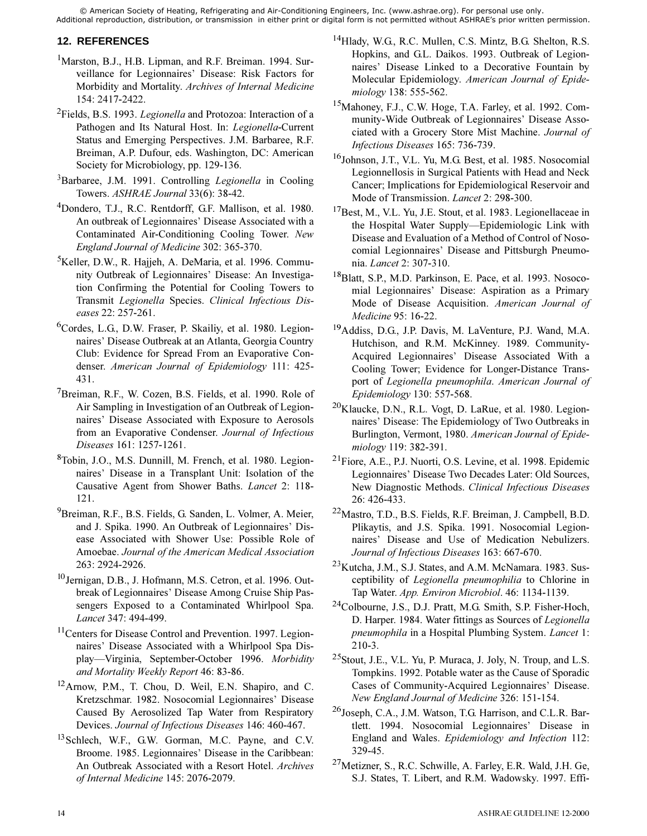### 12. REFERENCES

- <sup>1</sup>Marston, B.J., H.B. Lipman, and R.F. Breiman. 1994. Surveillance for Legionnaires' Disease: Risk Factors for Morbidity and Mortality. Archives of Internal Medicine 154: 2417-2422.
- <sup>2</sup>Fields, B.S. 1993. Legionella and Protozoa: Interaction of a Pathogen and Its Natural Host. In: Legionella-Current Status and Emerging Perspectives. J.M. Barbaree, R.F. Breiman, A.P. Dufour, eds. Washington, DC: American Society for Microbiology, pp. 129-136.
- <sup>3</sup>Barbaree, J.M. 1991. Controlling *Legionella* in Cooling Towers, ASHRAE, Journal 33(6): 38-42.
- <sup>4</sup>Dondero, T.J., R.C. Rentdorff, G.F. Mallison, et al. 1980. An outbreak of Legionnaires' Disease Associated with a Contaminated Air-Conditioning Cooling Tower. New England Journal of Medicine 302: 365-370.
- <sup>5</sup>Keller, D.W., R. Hajjeh, A. DeMaria, et al. 1996. Community Outbreak of Legionnaires' Disease: An Investigation Confirming the Potential for Cooling Towers to Transmit Legionella Species. Clinical Infectious Diseases 22: 257-261.
- <sup>6</sup>Cordes, L.G., D.W. Fraser, P. Skailiy, et al. 1980. Legionnaires' Disease Outbreak at an Atlanta, Georgia Country Club: Evidence for Spread From an Evaporative Condenser. American Journal of Epidemiology 111: 425-431.
- <sup>7</sup>Breiman, R.F., W. Cozen, B.S. Fields, et al. 1990. Role of Air Sampling in Investigation of an Outbreak of Legionnaires' Disease Associated with Exposure to Aerosols from an Evaporative Condenser. Journal of Infectious Diseases 161: 1257-1261.
- <sup>8</sup>Tobin, J.O., M.S. Dunnill, M. French, et al. 1980. Legionnaires' Disease in a Transplant Unit: Isolation of the Causative Agent from Shower Baths. Lancet 2: 118- $121.$
- <sup>9</sup>Breiman, R.F., B.S. Fields, G. Sanden, L. Volmer, A. Meier, and J. Spika. 1990. An Outbreak of Legionnaires' Disease Associated with Shower Use: Possible Role of Amoebae. Journal of the American Medical Association 263: 2924-2926.
- <sup>10</sup>Jernigan, D.B., J. Hofmann, M.S. Cetron, et al. 1996. Outbreak of Legionnaires' Disease Among Cruise Ship Passengers Exposed to a Contaminated Whirlpool Spa. Lancet 347: 494-499.
- <sup>11</sup>Centers for Disease Control and Prevention. 1997. Legionnaires' Disease Associated with a Whirlpool Spa Display—Virginia, September-October 1996. Morbidity and Mortality Weekly Report 46: 83-86.
- <sup>12</sup>Arnow, P.M., T. Chou, D. Weil, E.N. Shapiro, and C. Kretzschmar, 1982. Nosocomial Legionnaires' Disease Caused By Aerosolized Tap Water from Respiratory Devices. Journal of Infectious Diseases 146: 460-467.
- <sup>13</sup>Schlech, W.F., G.W. Gorman, M.C. Payne, and C.V. Broome. 1985. Legionnaires' Disease in the Caribbean: An Outbreak Associated with a Resort Hotel. Archives of Internal Medicine 145: 2076-2079.
- <sup>14</sup>Hlady, W.G., R.C. Mullen, C.S. Mintz, B.G. Shelton, R.S. Hopkins, and G.L. Daikos. 1993. Outbreak of Legionnaires' Disease Linked to a Decorative Fountain by Molecular Epidemiology. American Journal of Epidemiology 138: 555-562.
- <sup>15</sup>Mahoney, F.J., C.W. Hoge, T.A. Farley, et al. 1992. Community-Wide Outbreak of Legionnaires' Disease Associated with a Grocery Store Mist Machine. Journal of Infectious Diseases 165: 736-739.
- <sup>16</sup>Johnson, J.T., V.L. Yu, M.G. Best, et al. 1985. Nosocomial Legionnellosis in Surgical Patients with Head and Neck Cancer; Implications for Epidemiological Reservoir and Mode of Transmission. Lancet 2: 298-300.
- <sup>17</sup>Best, M., V.L. Yu, J.E. Stout, et al. 1983. Legionellaceae in the Hospital Water Supply-Epidemiologic Link with Disease and Evaluation of a Method of Control of Nosocomial Legionnaires' Disease and Pittsburgh Pneumonia. Lancet 2: 307-310.
- <sup>18</sup>Blatt, S.P., M.D. Parkinson, E. Pace, et al. 1993. Nosocomial Legionnaires' Disease: Aspiration as a Primary Mode of Disease Acquisition. American Journal of Medicine 95: 16-22.
- <sup>19</sup>Addiss, D.G., J.P. Davis, M. LaVenture, P.J. Wand, M.A. Hutchison, and R.M. McKinney, 1989. Community-Acquired Legionnaires' Disease Associated With a Cooling Tower; Evidence for Longer-Distance Transport of Legionella pneumophila. American Journal of Epidemiology 130: 557-568.
- <sup>20</sup>Klaucke, D.N., R.L. Vogt, D. LaRue, et al. 1980. Legionnaires' Disease: The Epidemiology of Two Outbreaks in Burlington, Vermont, 1980. American Journal of Epidemiology 119: 382-391.
- <sup>21</sup>Fiore, A.E., P.J. Nuorti, O.S. Levine, et al. 1998. Epidemic Legionnaires' Disease Two Decades Later: Old Sources. New Diagnostic Methods. Clinical Infectious Diseases 26: 426-433.
- <sup>22</sup>Mastro, T.D., B.S. Fields, R.F. Breiman, J. Campbell, B.D. Plikaytis, and J.S. Spika. 1991. Nosocomial Legionnaires' Disease and Use of Medication Nebulizers. Journal of Infectious Diseases 163: 667-670.
- <sup>23</sup>Kutcha, J.M., S.J. States, and A.M. McNamara. 1983. Susceptibility of Legionella pneumophilia to Chlorine in Tap Water. App. Environ Microbiol. 46: 1134-1139.
- <sup>24</sup>Colbourne, J.S., D.J. Pratt, M.G. Smith, S.P. Fisher-Hoch, D. Harper. 1984. Water fittings as Sources of Legionella *pneumophila* in a Hospital Plumbing System. *Lancet* 1:  $210-3.$
- <sup>25</sup>Stout, J.E., V.L. Yu, P. Muraca, J. Joly, N. Troup, and L.S. Tompkins. 1992. Potable water as the Cause of Sporadic Cases of Community-Acquired Legionnaires' Disease. New England Journal of Medicine 326: 151-154.
- <sup>26</sup>Joseph, C.A., J.M. Watson, T.G. Harrison, and C.L.R. Bartlett. 1994. Nosocomial Legionnaires' Disease in England and Wales. Epidemiology and Infection 112: 329-45.
- <sup>27</sup>Metizner, S., R.C. Schwille, A. Farley, E.R. Wald, J.H. Ge, S.J. States, T. Libert, and R.M. Wadowsky. 1997. Effi-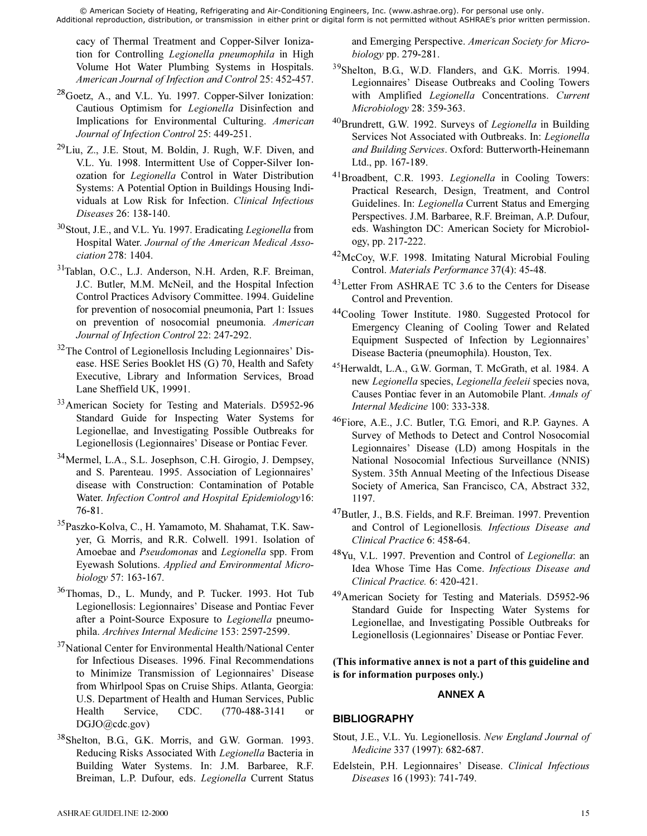cacy of Thermal Treatment and Copper-Silver Ionization for Controlling Legionella pneumophila in High Volume Hot Water Plumbing Systems in Hospitals. American Journal of Infection and Control 25: 452-457.

- <sup>28</sup>Goetz, A., and V.L. Yu. 1997. Copper-Silver Ionization: Cautious Optimism for Legionella Disinfection and Implications for Environmental Culturing. American Journal of Infection Control 25: 449-251.
- $^{29}$ Liu, Z., J.E. Stout, M. Boldin, J. Rugh, W.F. Diven, and V.L. Yu. 1998. Intermittent Use of Copper-Silver Ionozation for *Legionella* Control in Water Distribution Systems: A Potential Option in Buildings Housing Individuals at Low Risk for Infection. Clinical Infectious Diseases 26: 138-140.
- <sup>30</sup>Stout, J.E., and V.L. Yu. 1997. Eradicating Legionella from Hospital Water. Journal of the American Medical Association 278: 1404.
- <sup>31</sup>Tablan, O.C., L.J. Anderson, N.H. Arden, R.F. Breiman, J.C. Butler, M.M. McNeil, and the Hospital Infection Control Practices Advisory Committee. 1994. Guideline for prevention of nosocomial pneumonia, Part 1: Issues on prevention of nosocomial pneumonia. American Journal of Infection Control 22: 247-292.
- <sup>32</sup>The Control of Legionellosis Including Legionnaires' Disease. HSE Series Booklet HS (G) 70, Health and Safety Executive, Library and Information Services, Broad Lane Sheffield UK, 19991.
- <sup>33</sup>American Society for Testing and Materials. D5952-96 Standard Guide for Inspecting Water Systems for Legionellae, and Investigating Possible Outbreaks for Legionellosis (Legionnaires' Disease or Pontiac Fever.
- <sup>34</sup>Mermel, L.A., S.L. Josephson, C.H. Girogio, J. Dempsey, and S. Parenteau. 1995. Association of Legionnaires' disease with Construction: Contamination of Potable Water. Infection Control and Hospital Epidemiology16:  $76 - 81.$
- <sup>35</sup>Paszko-Kolva, C., H. Yamamoto, M. Shahamat, T.K. Sawyer, G. Morris, and R.R. Colwell. 1991. Isolation of Amoebae and *Pseudomonas* and *Legionella* spp. From Eyewash Solutions. Applied and Environmental Microbiology 57: 163-167.
- <sup>36</sup>Thomas, D., L. Mundy, and P. Tucker, 1993. Hot Tub Legionellosis: Legionnaires' Disease and Pontiac Fever after a Point-Source Exposure to Legionella pneumophila. Archives Internal Medicine 153: 2597-2599.
- <sup>37</sup>National Center for Environmental Health/National Center for Infectious Diseases. 1996. Final Recommendations to Minimize Transmission of Legionnaires' Disease from Whirlpool Spas on Cruise Ships. Atlanta, Georgia: U.S. Department of Health and Human Services, Public CDC.  $(770 - 488 - 3141$ Health Service, <sub>or</sub> DGJO@cdc.gov)
- <sup>38</sup> Shelton, B.G., G.K. Morris, and G.W. Gorman. 1993. Reducing Risks Associated With Legionella Bacteria in Building Water Systems. In: J.M. Barbaree, R.F. Breiman, L.P. Dufour, eds. Legionella Current Status

and Emerging Perspective. American Society for Microbiology pp. 279-281.

- <sup>39</sup>Shelton, B.G., W.D. Flanders, and G.K. Morris. 1994. Legionnaires' Disease Outbreaks and Cooling Towers with Amplified Legionella Concentrations. Current Microbiology 28: 359-363.
- $^{40}$ Brundrett, G.W. 1992. Surveys of *Legionella* in Building Services Not Associated with Outbreaks. In: Legionella and Building Services. Oxford: Butterworth-Heinemann Ltd., pp. 167-189.
- <sup>41</sup>Broadbent, C.R. 1993. *Legionella* in Cooling Towers: Practical Research, Design, Treatment, and Control Guidelines. In: Legionella Current Status and Emerging Perspectives. J.M. Barbaree, R.F. Breiman, A.P. Dufour, eds. Washington DC: American Society for Microbiology, pp. 217-222.
- <sup>42</sup>McCov, W.F. 1998. Imitating Natural Microbial Fouling Control. Materials Performance 37(4): 45-48.
- <sup>43</sup>Letter From ASHRAE TC 3.6 to the Centers for Disease Control and Prevention.
- <sup>44</sup>Cooling Tower Institute. 1980. Suggested Protocol for Emergency Cleaning of Cooling Tower and Related Equipment Suspected of Infection by Legionnaires' Disease Bacteria (pneumophila). Houston, Tex.
- <sup>45</sup>Herwaldt, L.A., G.W. Gorman, T. McGrath, et al. 1984. A new Legionella species, Legionella feeleii species nova, Causes Pontiac fever in an Automobile Plant. Annals of Internal Medicine 100: 333-338.
- <sup>46</sup>Fiore, A.E., J.C. Butler, T.G. Emori, and R.P. Gaynes. A Survey of Methods to Detect and Control Nosocomial Legionnaires' Disease (LD) among Hospitals in the National Nosocomial Infectious Surveillance (NNIS) System. 35th Annual Meeting of the Infectious Disease Society of America, San Francisco, CA, Abstract 332, 1197.
- <sup>47</sup>Butler, J., B.S. Fields, and R.F. Breiman. 1997. Prevention and Control of Legionellosis. Infectious Disease and Clinical Practice 6: 458-64.
- <sup>48</sup>Yu, V.L. 1997. Prevention and Control of *Legionella*: an Idea Whose Time Has Come. Infectious Disease and Clinical Practice. 6: 420-421.
- <sup>49</sup> American Society for Testing and Materials. D5952-96 Standard Guide for Inspecting Water Systems for Legionellae, and Investigating Possible Outbreaks for Legionellosis (Legionnaires' Disease or Pontiac Fever.

#### (This informative annex is not a part of this guideline and is for information purposes only.)

#### **ANNEX A**

#### **BIBLIOGRAPHY**

- Stout, J.E., V.L. Yu. Legionellosis. New England Journal of Medicine 337 (1997): 682-687.
- Edelstein, P.H. Legionnaires' Disease. Clinical Infectious Diseases 16 (1993): 741-749.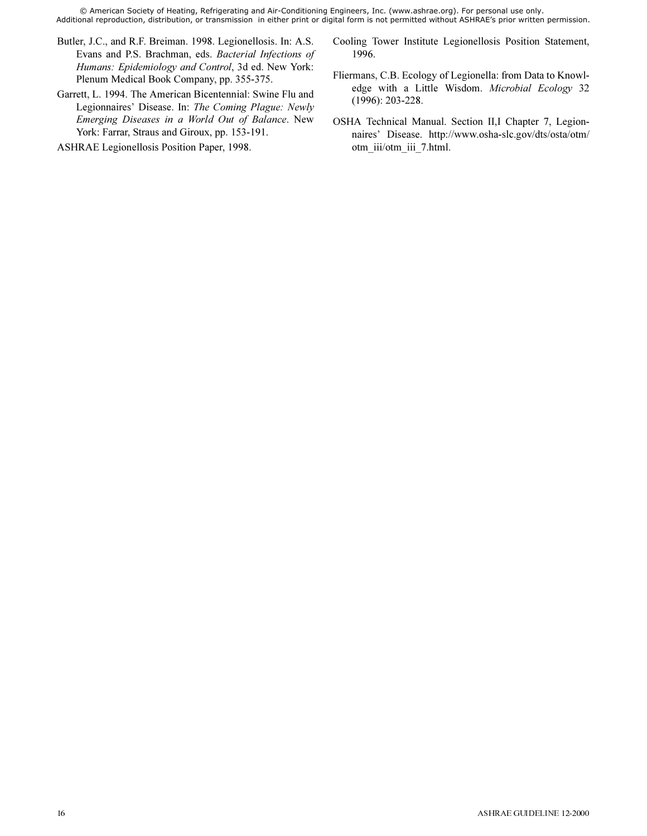- Butler, J.C., and R.F. Breiman. 1998. Legionellosis. In: A.S. Evans and P.S. Brachman, eds. Bacterial Infections of Humans: Epidemiology and Control, 3d ed. New York: Plenum Medical Book Company, pp. 355-375.
- Garrett, L. 1994. The American Bicentennial: Swine Flu and Legionnaires' Disease. In: The Coming Plague: Newly Emerging Diseases in a World Out of Balance. New York: Farrar, Straus and Giroux, pp. 153-191.
- ASHRAE Legionellosis Position Paper, 1998.
- Cooling Tower Institute Legionellosis Position Statement, 1996.
- Fliermans, C.B. Ecology of Legionella: from Data to Knowledge with a Little Wisdom. Microbial Ecology 32  $(1996): 203-228.$
- OSHA Technical Manual. Section II,I Chapter 7, Legionnaires' Disease. http://www.osha-slc.gov/dts/osta/otm/ otm iii/otm iii 7.html.